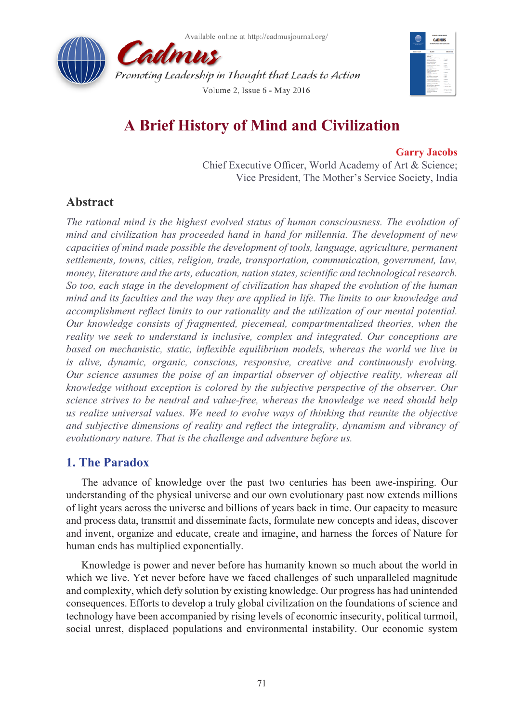



# **A Brief History of Mind and Civilization**

### **Garry Jacobs**

Chief Executive Officer, World Academy of Art & Science; Vice President, The Mother's Service Society, India

# **Abstract**

*The rational mind is the highest evolved status of human consciousness. The evolution of mind and civilization has proceeded hand in hand for millennia. The development of new capacities of mind made possible the development of tools, language, agriculture, permanent settlements, towns, cities, religion, trade, transportation, communication, government, law, money, literature and the arts, education, nation states, scientific and technological research. So too, each stage in the development of civilization has shaped the evolution of the human mind and its faculties and the way they are applied in life. The limits to our knowledge and accomplishment reflect limits to our rationality and the utilization of our mental potential. Our knowledge consists of fragmented, piecemeal, compartmentalized theories, when the reality we seek to understand is inclusive, complex and integrated. Our conceptions are based on mechanistic, static, inflexible equilibrium models, whereas the world we live in is alive, dynamic, organic, conscious, responsive, creative and continuously evolving. Our science assumes the poise of an impartial observer of objective reality, whereas all knowledge without exception is colored by the subjective perspective of the observer. Our science strives to be neutral and value-free, whereas the knowledge we need should help us realize universal values. We need to evolve ways of thinking that reunite the objective and subjective dimensions of reality and reflect the integrality, dynamism and vibrancy of evolutionary nature. That is the challenge and adventure before us.* 

# **1. The Paradox**

The advance of knowledge over the past two centuries has been awe-inspiring. Our understanding of the physical universe and our own evolutionary past now extends millions of light years across the universe and billions of years back in time. Our capacity to measure and process data, transmit and disseminate facts, formulate new concepts and ideas, discover and invent, organize and educate, create and imagine, and harness the forces of Nature for human ends has multiplied exponentially.

Knowledge is power and never before has humanity known so much about the world in which we live. Yet never before have we faced challenges of such unparalleled magnitude and complexity, which defy solution by existing knowledge. Our progress has had unintended consequences. Efforts to develop a truly global civilization on the foundations of science and technology have been accompanied by rising levels of economic insecurity, political turmoil, social unrest, displaced populations and environmental instability. Our economic system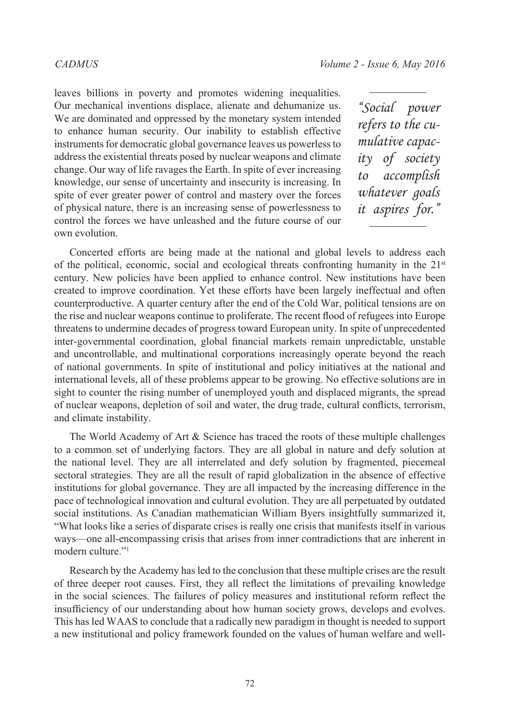leaves billions in poverty and promotes widening inequalities. Our mechanical inventions displace, alienate and dehumanize us. We are dominated and oppressed by the monetary system intended to enhance human security. Our inability to establish effective instruments for democratic global governance leaves us powerless to address the existential threats posed by nuclear weapons and climate change. Our way of life ravages the Earth. In spite of ever increasing knowledge, our sense of uncertainty and insecurity is increasing. In spite of ever greater power of control and mastery over the forces of physical nature, there is an increasing sense of powerlessness to control the forces we have unleashed and the future course of our own evolution.

*"Social power refers to the cumulative capacity of society to accomplish whatever goals it aspires for."*

Concerted efforts are being made at the national and global levels to address each of the political, economic, social and ecological threats confronting humanity in the  $21<sup>st</sup>$ century. New policies have been applied to enhance control. New institutions have been created to improve coordination. Yet these efforts have been largely ineffectual and often counterproductive. A quarter century after the end of the Cold War, political tensions are on the rise and nuclear weapons continue to proliferate. The recent flood of refugees into Europe threatens to undermine decades of progress toward European unity. In spite of unprecedented inter-governmental coordination, global financial markets remain unpredictable, unstable and uncontrollable, and multinational corporations increasingly operate beyond the reach of national governments. In spite of institutional and policy initiatives at the national and international levels, all of these problems appear to be growing. No effective solutions are in sight to counter the rising number of unemployed youth and displaced migrants, the spread of nuclear weapons, depletion of soil and water, the drug trade, cultural conflicts, terrorism, and climate instability.

The World Academy of Art & Science has traced the roots of these multiple challenges to a common set of underlying factors. They are all global in nature and defy solution at the national level. They are all interrelated and defy solution by fragmented, piecemeal sectoral strategies. They are all the result of rapid globalization in the absence of effective institutions for global governance. They are all impacted by the increasing difference in the pace of technological innovation and cultural evolution. They are all perpetuated by outdated social institutions. As Canadian mathematician William Byers insightfully summarized it, "What looks like a series of disparate crises is really one crisis that manifests itself in various ways—one all-encompassing crisis that arises from inner contradictions that are inherent in modern culture."<sup>[1](#page-38-0)</sup>

Research by the Academy has led to the conclusion that these multiple crises are the result of three deeper root causes. First, they all reflect the limitations of prevailing knowledge in the social sciences. The failures of policy measures and institutional reform reflect the insufficiency of our understanding about how human society grows, develops and evolves. This has led WAAS to conclude that a radically new paradigm in thought is needed to support a new institutional and policy framework founded on the values of human welfare and well-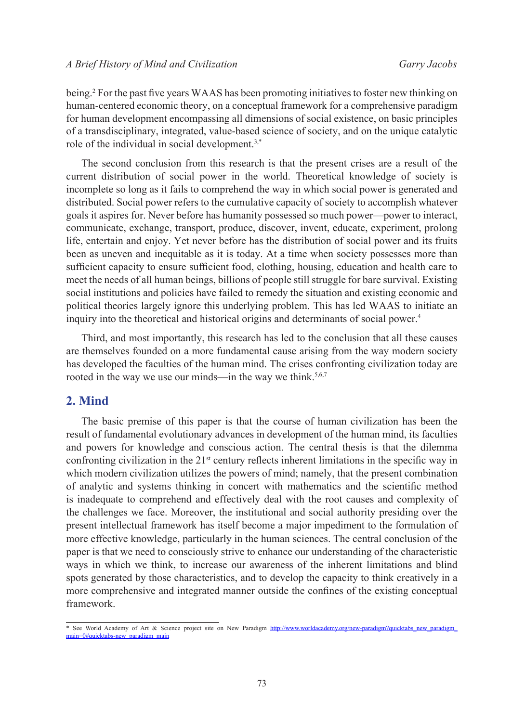being.<sup>[2](#page-38-1)</sup> For the past five years WAAS has been promoting initiatives to foster new thinking on human-centered economic theory, on a conceptual framework for a comprehensive paradigm for human development encompassing all dimensions of social existence, on basic principles of a transdisciplinary, integrated, value-based science of society, and on the unique catalytic role of the individual in social development.<sup>[3](#page-38-2),\*</sup>

The second conclusion from this research is that the present crises are a result of the current distribution of social power in the world. Theoretical knowledge of society is incomplete so long as it fails to comprehend the way in which social power is generated and distributed. Social power refers to the cumulative capacity of society to accomplish whatever goals it aspires for. Never before has humanity possessed so much power—power to interact, communicate, exchange, transport, produce, discover, invent, educate, experiment, prolong life, entertain and enjoy. Yet never before has the distribution of social power and its fruits been as uneven and inequitable as it is today. At a time when society possesses more than sufficient capacity to ensure sufficient food, clothing, housing, education and health care to meet the needs of all human beings, billions of people still struggle for bare survival. Existing social institutions and policies have failed to remedy the situation and existing economic and political theories largely ignore this underlying problem. This has led WAAS to initiate an inquiry into the theoretical and historical origins and determinants of social power.[4](#page-38-3)

Third, and most importantly, this research has led to the conclusion that all these causes are themselves founded on a more fundamental cause arising from the way modern society has developed the faculties of the human mind. The crises confronting civilization today are rooted in the way we use our minds—in the way we think.<sup>[5](#page-38-4),[6](#page-38-5),[7](#page-38-6)</sup>

# **2. Mind**

The basic premise of this paper is that the course of human civilization has been the result of fundamental evolutionary advances in development of the human mind, its faculties and powers for knowledge and conscious action. The central thesis is that the dilemma confronting civilization in the  $21<sup>st</sup>$  century reflects inherent limitations in the specific way in which modern civilization utilizes the powers of mind; namely, that the present combination of analytic and systems thinking in concert with mathematics and the scientific method is inadequate to comprehend and effectively deal with the root causes and complexity of the challenges we face. Moreover, the institutional and social authority presiding over the present intellectual framework has itself become a major impediment to the formulation of more effective knowledge, particularly in the human sciences. The central conclusion of the paper is that we need to consciously strive to enhance our understanding of the characteristic ways in which we think, to increase our awareness of the inherent limitations and blind spots generated by those characteristics, and to develop the capacity to think creatively in a more comprehensive and integrated manner outside the confines of the existing conceptual framework.

<sup>\*</sup> See World Academy of Art & Science project site on New Paradigm http://www.worldacademy.org/new-paradigm?quicktabs\_new\_paradigm main=0#quicktabs-new\_paradigm\_main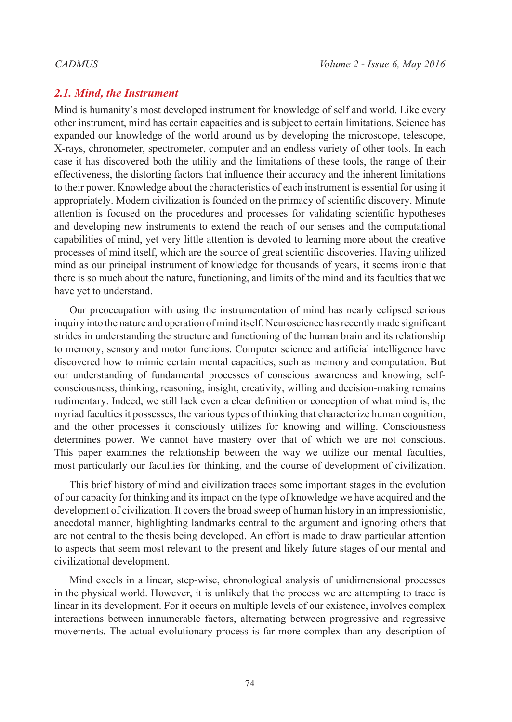# *2.1. Mind, the Instrument*

Mind is humanity's most developed instrument for knowledge of self and world. Like every other instrument, mind has certain capacities and is subject to certain limitations. Science has expanded our knowledge of the world around us by developing the microscope, telescope, X-rays, chronometer, spectrometer, computer and an endless variety of other tools. In each case it has discovered both the utility and the limitations of these tools, the range of their effectiveness, the distorting factors that influence their accuracy and the inherent limitations to their power. Knowledge about the characteristics of each instrument is essential for using it appropriately. Modern civilization is founded on the primacy of scientific discovery. Minute attention is focused on the procedures and processes for validating scientific hypotheses and developing new instruments to extend the reach of our senses and the computational capabilities of mind, yet very little attention is devoted to learning more about the creative processes of mind itself, which are the source of great scientific discoveries. Having utilized mind as our principal instrument of knowledge for thousands of years, it seems ironic that there is so much about the nature, functioning, and limits of the mind and its faculties that we have yet to understand.

Our preoccupation with using the instrumentation of mind has nearly eclipsed serious inquiry into the nature and operation of mind itself. Neuroscience has recently made significant strides in understanding the structure and functioning of the human brain and its relationship to memory, sensory and motor functions. Computer science and artificial intelligence have discovered how to mimic certain mental capacities, such as memory and computation. But our understanding of fundamental processes of conscious awareness and knowing, selfconsciousness, thinking, reasoning, insight, creativity, willing and decision-making remains rudimentary. Indeed, we still lack even a clear definition or conception of what mind is, the myriad faculties it possesses, the various types of thinking that characterize human cognition, and the other processes it consciously utilizes for knowing and willing. Consciousness determines power. We cannot have mastery over that of which we are not conscious. This paper examines the relationship between the way we utilize our mental faculties, most particularly our faculties for thinking, and the course of development of civilization.

This brief history of mind and civilization traces some important stages in the evolution of our capacity for thinking and its impact on the type of knowledge we have acquired and the development of civilization. It covers the broad sweep of human history in an impressionistic, anecdotal manner, highlighting landmarks central to the argument and ignoring others that are not central to the thesis being developed. An effort is made to draw particular attention to aspects that seem most relevant to the present and likely future stages of our mental and civilizational development.

Mind excels in a linear, step-wise, chronological analysis of unidimensional processes in the physical world. However, it is unlikely that the process we are attempting to trace is linear in its development. For it occurs on multiple levels of our existence, involves complex interactions between innumerable factors, alternating between progressive and regressive movements. The actual evolutionary process is far more complex than any description of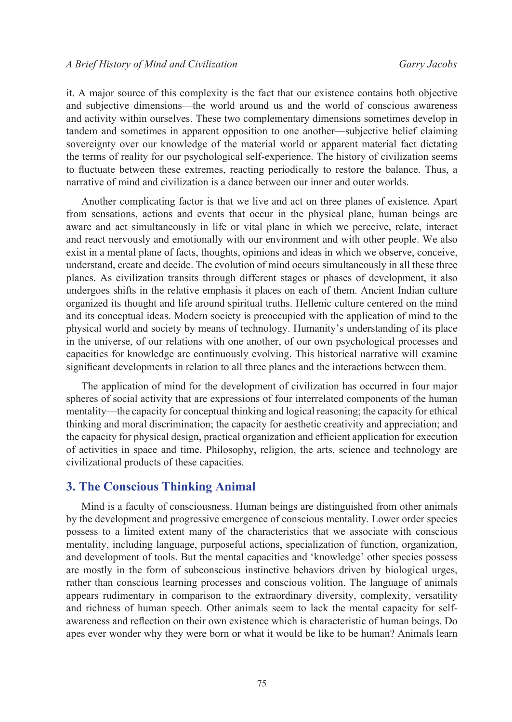it. A major source of this complexity is the fact that our existence contains both objective and subjective dimensions—the world around us and the world of conscious awareness and activity within ourselves. These two complementary dimensions sometimes develop in tandem and sometimes in apparent opposition to one another—subjective belief claiming sovereignty over our knowledge of the material world or apparent material fact dictating the terms of reality for our psychological self-experience. The history of civilization seems to fluctuate between these extremes, reacting periodically to restore the balance. Thus, a narrative of mind and civilization is a dance between our inner and outer worlds.

Another complicating factor is that we live and act on three planes of existence. Apart from sensations, actions and events that occur in the physical plane, human beings are aware and act simultaneously in life or vital plane in which we perceive, relate, interact and react nervously and emotionally with our environment and with other people. We also exist in a mental plane of facts, thoughts, opinions and ideas in which we observe, conceive, understand, create and decide. The evolution of mind occurs simultaneously in all these three planes. As civilization transits through different stages or phases of development, it also undergoes shifts in the relative emphasis it places on each of them. Ancient Indian culture organized its thought and life around spiritual truths. Hellenic culture centered on the mind and its conceptual ideas. Modern society is preoccupied with the application of mind to the physical world and society by means of technology. Humanity's understanding of its place in the universe, of our relations with one another, of our own psychological processes and capacities for knowledge are continuously evolving. This historical narrative will examine significant developments in relation to all three planes and the interactions between them.

The application of mind for the development of civilization has occurred in four major spheres of social activity that are expressions of four interrelated components of the human mentality—the capacity for conceptual thinking and logical reasoning; the capacity for ethical thinking and moral discrimination; the capacity for aesthetic creativity and appreciation; and the capacity for physical design, practical organization and efficient application for execution of activities in space and time. Philosophy, religion, the arts, science and technology are civilizational products of these capacities.

### **3. The Conscious Thinking Animal**

Mind is a faculty of consciousness. Human beings are distinguished from other animals by the development and progressive emergence of conscious mentality. Lower order species possess to a limited extent many of the characteristics that we associate with conscious mentality, including language, purposeful actions, specialization of function, organization, and development of tools. But the mental capacities and 'knowledge' other species possess are mostly in the form of subconscious instinctive behaviors driven by biological urges, rather than conscious learning processes and conscious volition. The language of animals appears rudimentary in comparison to the extraordinary diversity, complexity, versatility and richness of human speech. Other animals seem to lack the mental capacity for selfawareness and reflection on their own existence which is characteristic of human beings. Do apes ever wonder why they were born or what it would be like to be human? Animals learn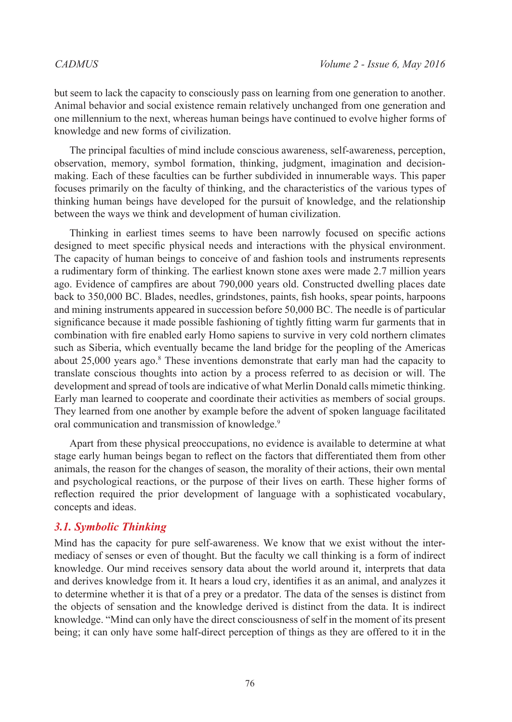but seem to lack the capacity to consciously pass on learning from one generation to another. Animal behavior and social existence remain relatively unchanged from one generation and one millennium to the next, whereas human beings have continued to evolve higher forms of knowledge and new forms of civilization.

The principal faculties of mind include conscious awareness, self-awareness, perception, observation, memory, symbol formation, thinking, judgment, imagination and decisionmaking. Each of these faculties can be further subdivided in innumerable ways. This paper focuses primarily on the faculty of thinking, and the characteristics of the various types of thinking human beings have developed for the pursuit of knowledge, and the relationship between the ways we think and development of human civilization.

Thinking in earliest times seems to have been narrowly focused on specific actions designed to meet specific physical needs and interactions with the physical environment. The capacity of human beings to conceive of and fashion tools and instruments represents a rudimentary form of thinking. The earliest known stone axes were made 2.7 million years ago. Evidence of campfires are about 790,000 years old. Constructed dwelling places date back to 350,000 BC. Blades, needles, grindstones, paints, fish hooks, spear points, harpoons and mining instruments appeared in succession before 50,000 BC. The needle is of particular significance because it made possible fashioning of tightly fitting warm fur garments that in combination with fire enabled early Homo sapiens to survive in very cold northern climates such as Siberia, which eventually became the land bridge for the peopling of the Americas about 25,000 years ago.<sup>[8](#page-38-7)</sup> These inventions demonstrate that early man had the capacity to translate conscious thoughts into action by a process referred to as decision or will. The development and spread of tools are indicative of what Merlin Donald calls mimetic thinking. Early man learned to cooperate and coordinate their activities as members of social groups. They learned from one another by example before the advent of spoken language facilitated oral communication and transmission of knowledge.<sup>9</sup>

Apart from these physical preoccupations, no evidence is available to determine at what stage early human beings began to reflect on the factors that differentiated them from other animals, the reason for the changes of season, the morality of their actions, their own mental and psychological reactions, or the purpose of their lives on earth. These higher forms of reflection required the prior development of language with a sophisticated vocabulary, concepts and ideas.

# *3.1. Symbolic Thinking*

Mind has the capacity for pure self-awareness. We know that we exist without the intermediacy of senses or even of thought. But the faculty we call thinking is a form of indirect knowledge. Our mind receives sensory data about the world around it, interprets that data and derives knowledge from it. It hears a loud cry, identifies it as an animal, and analyzes it to determine whether it is that of a prey or a predator. The data of the senses is distinct from the objects of sensation and the knowledge derived is distinct from the data. It is indirect knowledge. "Mind can only have the direct consciousness of self in the moment of its present being; it can only have some half-direct perception of things as they are offered to it in the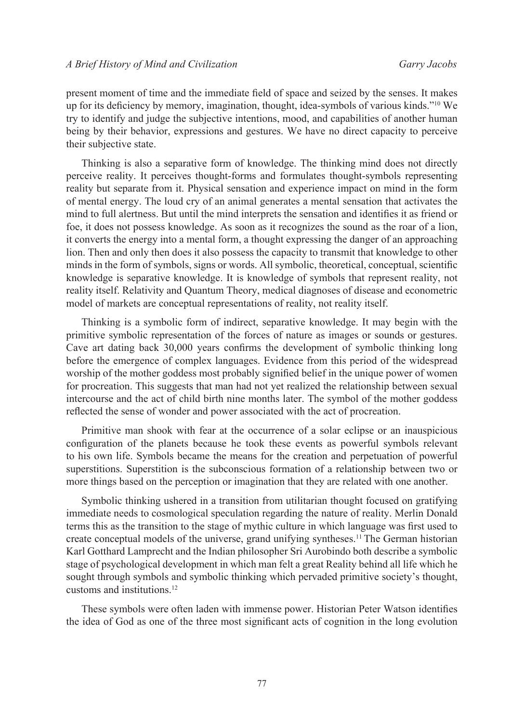present moment of time and the immediate field of space and seized by the senses. It makes up for its deficiency by memory, imagination, thought, idea-symbols of various kinds."[10](#page-38-9) We try to identify and judge the subjective intentions, mood, and capabilities of another human being by their behavior, expressions and gestures. We have no direct capacity to perceive their subjective state.

Thinking is also a separative form of knowledge. The thinking mind does not directly perceive reality. It perceives thought-forms and formulates thought-symbols representing reality but separate from it. Physical sensation and experience impact on mind in the form of mental energy. The loud cry of an animal generates a mental sensation that activates the mind to full alertness. But until the mind interprets the sensation and identifies it as friend or foe, it does not possess knowledge. As soon as it recognizes the sound as the roar of a lion, it converts the energy into a mental form, a thought expressing the danger of an approaching lion. Then and only then does it also possess the capacity to transmit that knowledge to other minds in the form of symbols, signs or words. All symbolic, theoretical, conceptual, scientific knowledge is separative knowledge. It is knowledge of symbols that represent reality, not reality itself. Relativity and Quantum Theory, medical diagnoses of disease and econometric model of markets are conceptual representations of reality, not reality itself.

Thinking is a symbolic form of indirect, separative knowledge. It may begin with the primitive symbolic representation of the forces of nature as images or sounds or gestures. Cave art dating back 30,000 years confirms the development of symbolic thinking long before the emergence of complex languages. Evidence from this period of the widespread worship of the mother goddess most probably signified belief in the unique power of women for procreation. This suggests that man had not yet realized the relationship between sexual intercourse and the act of child birth nine months later. The symbol of the mother goddess reflected the sense of wonder and power associated with the act of procreation.

Primitive man shook with fear at the occurrence of a solar eclipse or an inauspicious configuration of the planets because he took these events as powerful symbols relevant to his own life. Symbols became the means for the creation and perpetuation of powerful superstitions. Superstition is the subconscious formation of a relationship between two or more things based on the perception or imagination that they are related with one another.

Symbolic thinking ushered in a transition from utilitarian thought focused on gratifying immediate needs to cosmological speculation regarding the nature of reality. Merlin Donald terms this as the transition to the stage of mythic culture in which language was first used to create conceptual models of the universe, grand unifying syntheses.[11](#page-38-10) The German historian Karl Gotthard Lamprecht and the Indian philosopher Sri Aurobindo both describe a symbolic stage of psychological development in which man felt a great Reality behind all life which he sought through symbols and symbolic thinking which pervaded primitive society's thought, customs and institutions.[12](#page-38-11)

These symbols were often laden with immense power. Historian Peter Watson identifies the idea of God as one of the three most significant acts of cognition in the long evolution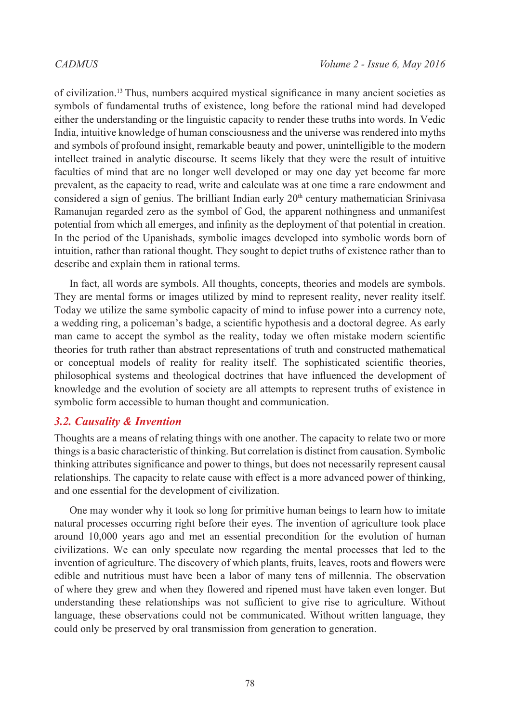of civilization.[13](#page-38-12) Thus, numbers acquired mystical significance in many ancient societies as symbols of fundamental truths of existence, long before the rational mind had developed either the understanding or the linguistic capacity to render these truths into words. In Vedic India, intuitive knowledge of human consciousness and the universe was rendered into myths and symbols of profound insight, remarkable beauty and power, unintelligible to the modern intellect trained in analytic discourse. It seems likely that they were the result of intuitive faculties of mind that are no longer well developed or may one day yet become far more prevalent, as the capacity to read, write and calculate was at one time a rare endowment and considered a sign of genius. The brilliant Indian early  $20<sup>th</sup>$  century mathematician Srinivasa Ramanujan regarded zero as the symbol of God, the apparent nothingness and unmanifest potential from which all emerges, and infinity as the deployment of that potential in creation. In the period of the Upanishads, symbolic images developed into symbolic words born of intuition, rather than rational thought. They sought to depict truths of existence rather than to describe and explain them in rational terms.

In fact, all words are symbols. All thoughts, concepts, theories and models are symbols. They are mental forms or images utilized by mind to represent reality, never reality itself. Today we utilize the same symbolic capacity of mind to infuse power into a currency note, a wedding ring, a policeman's badge, a scientific hypothesis and a doctoral degree. As early man came to accept the symbol as the reality, today we often mistake modern scientific theories for truth rather than abstract representations of truth and constructed mathematical or conceptual models of reality for reality itself. The sophisticated scientific theories, philosophical systems and theological doctrines that have influenced the development of knowledge and the evolution of society are all attempts to represent truths of existence in symbolic form accessible to human thought and communication.

# *3.2. Causality & Invention*

Thoughts are a means of relating things with one another. The capacity to relate two or more things is a basic characteristic of thinking. But correlation is distinct from causation. Symbolic thinking attributes significance and power to things, but does not necessarily represent causal relationships. The capacity to relate cause with effect is a more advanced power of thinking, and one essential for the development of civilization.

One may wonder why it took so long for primitive human beings to learn how to imitate natural processes occurring right before their eyes. The invention of agriculture took place around 10,000 years ago and met an essential precondition for the evolution of human civilizations. We can only speculate now regarding the mental processes that led to the invention of agriculture. The discovery of which plants, fruits, leaves, roots and flowers were edible and nutritious must have been a labor of many tens of millennia. The observation of where they grew and when they flowered and ripened must have taken even longer. But understanding these relationships was not sufficient to give rise to agriculture. Without language, these observations could not be communicated. Without written language, they could only be preserved by oral transmission from generation to generation.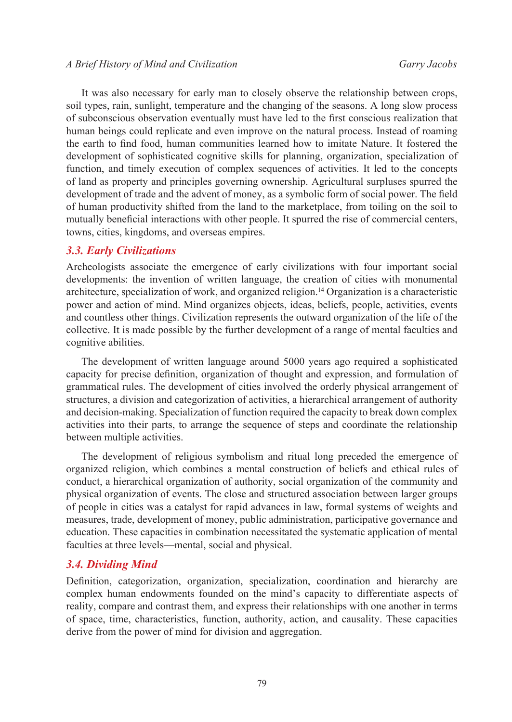It was also necessary for early man to closely observe the relationship between crops, soil types, rain, sunlight, temperature and the changing of the seasons. A long slow process of subconscious observation eventually must have led to the first conscious realization that human beings could replicate and even improve on the natural process. Instead of roaming the earth to find food, human communities learned how to imitate Nature. It fostered the development of sophisticated cognitive skills for planning, organization, specialization of function, and timely execution of complex sequences of activities. It led to the concepts of land as property and principles governing ownership. Agricultural surpluses spurred the development of trade and the advent of money, as a symbolic form of social power. The field of human productivity shifted from the land to the marketplace, from toiling on the soil to mutually beneficial interactions with other people. It spurred the rise of commercial centers, towns, cities, kingdoms, and overseas empires.

### *3.3. Early Civilizations*

Archeologists associate the emergence of early civilizations with four important social developments: the invention of written language, the creation of cities with monumental architecture, specialization of work, and organized religion.[14](#page-38-13) Organization is a characteristic power and action of mind. Mind organizes objects, ideas, beliefs, people, activities, events and countless other things. Civilization represents the outward organization of the life of the collective. It is made possible by the further development of a range of mental faculties and cognitive abilities.

The development of written language around 5000 years ago required a sophisticated capacity for precise definition, organization of thought and expression, and formulation of grammatical rules. The development of cities involved the orderly physical arrangement of structures, a division and categorization of activities, a hierarchical arrangement of authority and decision-making. Specialization of function required the capacity to break down complex activities into their parts, to arrange the sequence of steps and coordinate the relationship between multiple activities.

The development of religious symbolism and ritual long preceded the emergence of organized religion, which combines a mental construction of beliefs and ethical rules of conduct, a hierarchical organization of authority, social organization of the community and physical organization of events. The close and structured association between larger groups of people in cities was a catalyst for rapid advances in law, formal systems of weights and measures, trade, development of money, public administration, participative governance and education. These capacities in combination necessitated the systematic application of mental faculties at three levels—mental, social and physical.

# *3.4. Dividing Mind*

Definition, categorization, organization, specialization, coordination and hierarchy are complex human endowments founded on the mind's capacity to differentiate aspects of reality, compare and contrast them, and express their relationships with one another in terms of space, time, characteristics, function, authority, action, and causality. These capacities derive from the power of mind for division and aggregation.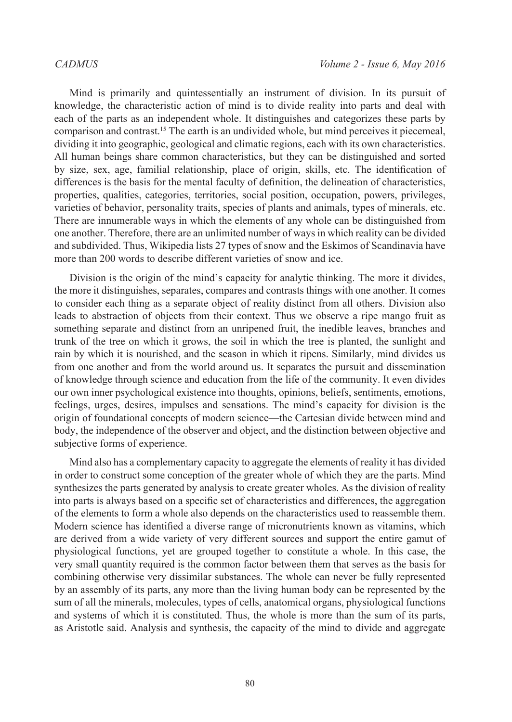Mind is primarily and quintessentially an instrument of division. In its pursuit of knowledge, the characteristic action of mind is to divide reality into parts and deal with each of the parts as an independent whole. It distinguishes and categorizes these parts by comparison and contrast.[15](#page-38-14) The earth is an undivided whole, but mind perceives it piecemeal, dividing it into geographic, geological and climatic regions, each with its own characteristics. All human beings share common characteristics, but they can be distinguished and sorted by size, sex, age, familial relationship, place of origin, skills, etc. The identification of differences is the basis for the mental faculty of definition, the delineation of characteristics, properties, qualities, categories, territories, social position, occupation, powers, privileges, varieties of behavior, personality traits, species of plants and animals, types of minerals, etc. There are innumerable ways in which the elements of any whole can be distinguished from one another. Therefore, there are an unlimited number of ways in which reality can be divided and subdivided. Thus, Wikipedia lists 27 types of snow and the Eskimos of Scandinavia have more than 200 words to describe different varieties of snow and ice.

Division is the origin of the mind's capacity for analytic thinking. The more it divides, the more it distinguishes, separates, compares and contrasts things with one another. It comes to consider each thing as a separate object of reality distinct from all others. Division also leads to abstraction of objects from their context. Thus we observe a ripe mango fruit as something separate and distinct from an unripened fruit, the inedible leaves, branches and trunk of the tree on which it grows, the soil in which the tree is planted, the sunlight and rain by which it is nourished, and the season in which it ripens. Similarly, mind divides us from one another and from the world around us. It separates the pursuit and dissemination of knowledge through science and education from the life of the community. It even divides our own inner psychological existence into thoughts, opinions, beliefs, sentiments, emotions, feelings, urges, desires, impulses and sensations. The mind's capacity for division is the origin of foundational concepts of modern science—the Cartesian divide between mind and body, the independence of the observer and object, and the distinction between objective and subjective forms of experience.

Mind also has a complementary capacity to aggregate the elements of reality it has divided in order to construct some conception of the greater whole of which they are the parts. Mind synthesizes the parts generated by analysis to create greater wholes. As the division of reality into parts is always based on a specific set of characteristics and differences, the aggregation of the elements to form a whole also depends on the characteristics used to reassemble them. Modern science has identified a diverse range of micronutrients known as vitamins, which are derived from a wide variety of very different sources and support the entire gamut of physiological functions, yet are grouped together to constitute a whole. In this case, the very small quantity required is the common factor between them that serves as the basis for combining otherwise very dissimilar substances. The whole can never be fully represented by an assembly of its parts, any more than the living human body can be represented by the sum of all the minerals, molecules, types of cells, anatomical organs, physiological functions and systems of which it is constituted. Thus, the whole is more than the sum of its parts, as Aristotle said. Analysis and synthesis, the capacity of the mind to divide and aggregate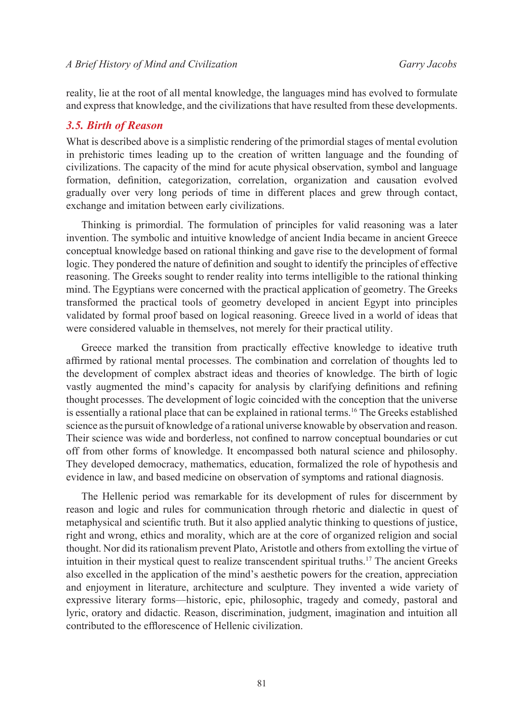reality, lie at the root of all mental knowledge, the languages mind has evolved to formulate and express that knowledge, and the civilizations that have resulted from these developments.

### *3.5. Birth of Reason*

What is described above is a simplistic rendering of the primordial stages of mental evolution in prehistoric times leading up to the creation of written language and the founding of civilizations. The capacity of the mind for acute physical observation, symbol and language formation, definition, categorization, correlation, organization and causation evolved gradually over very long periods of time in different places and grew through contact, exchange and imitation between early civilizations.

Thinking is primordial. The formulation of principles for valid reasoning was a later invention. The symbolic and intuitive knowledge of ancient India became in ancient Greece conceptual knowledge based on rational thinking and gave rise to the development of formal logic. They pondered the nature of definition and sought to identify the principles of effective reasoning. The Greeks sought to render reality into terms intelligible to the rational thinking mind. The Egyptians were concerned with the practical application of geometry. The Greeks transformed the practical tools of geometry developed in ancient Egypt into principles validated by formal proof based on logical reasoning. Greece lived in a world of ideas that were considered valuable in themselves, not merely for their practical utility.

Greece marked the transition from practically effective knowledge to ideative truth affirmed by rational mental processes. The combination and correlation of thoughts led to the development of complex abstract ideas and theories of knowledge. The birth of logic vastly augmented the mind's capacity for analysis by clarifying definitions and refining thought processes. The development of logic coincided with the conception that the universe is essentially a rational place that can be explained in rational terms.<sup>[16](#page-38-15)</sup> The Greeks established science as the pursuit of knowledge of a rational universe knowable by observation and reason. Their science was wide and borderless, not confined to narrow conceptual boundaries or cut off from other forms of knowledge. It encompassed both natural science and philosophy. They developed democracy, mathematics, education, formalized the role of hypothesis and evidence in law, and based medicine on observation of symptoms and rational diagnosis.

The Hellenic period was remarkable for its development of rules for discernment by reason and logic and rules for communication through rhetoric and dialectic in quest of metaphysical and scientific truth. But it also applied analytic thinking to questions of justice, right and wrong, ethics and morality, which are at the core of organized religion and social thought. Nor did its rationalism prevent Plato, Aristotle and others from extolling the virtue of intuition in their mystical quest to realize transcendent spiritual truths.[17](#page-38-16) The ancient Greeks also excelled in the application of the mind's aesthetic powers for the creation, appreciation and enjoyment in literature, architecture and sculpture. They invented a wide variety of expressive literary forms—historic, epic, philosophic, tragedy and comedy, pastoral and lyric, oratory and didactic. Reason, discrimination, judgment, imagination and intuition all contributed to the efflorescence of Hellenic civilization.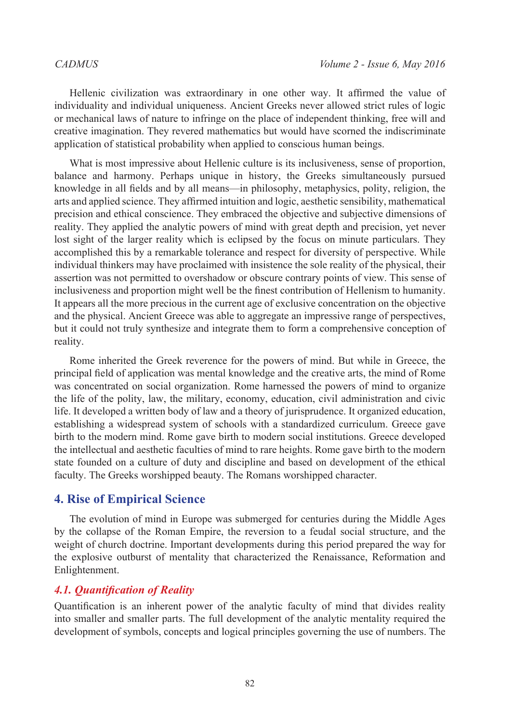Hellenic civilization was extraordinary in one other way. It affirmed the value of individuality and individual uniqueness. Ancient Greeks never allowed strict rules of logic or mechanical laws of nature to infringe on the place of independent thinking, free will and creative imagination. They revered mathematics but would have scorned the indiscriminate application of statistical probability when applied to conscious human beings.

What is most impressive about Hellenic culture is its inclusiveness, sense of proportion, balance and harmony. Perhaps unique in history, the Greeks simultaneously pursued knowledge in all fields and by all means—in philosophy, metaphysics, polity, religion, the arts and applied science. They affirmed intuition and logic, aesthetic sensibility, mathematical precision and ethical conscience. They embraced the objective and subjective dimensions of reality. They applied the analytic powers of mind with great depth and precision, yet never lost sight of the larger reality which is eclipsed by the focus on minute particulars. They accomplished this by a remarkable tolerance and respect for diversity of perspective. While individual thinkers may have proclaimed with insistence the sole reality of the physical, their assertion was not permitted to overshadow or obscure contrary points of view. This sense of inclusiveness and proportion might well be the finest contribution of Hellenism to humanity. It appears all the more precious in the current age of exclusive concentration on the objective and the physical. Ancient Greece was able to aggregate an impressive range of perspectives, but it could not truly synthesize and integrate them to form a comprehensive conception of reality.

Rome inherited the Greek reverence for the powers of mind. But while in Greece, the principal field of application was mental knowledge and the creative arts, the mind of Rome was concentrated on social organization. Rome harnessed the powers of mind to organize the life of the polity, law, the military, economy, education, civil administration and civic life. It developed a written body of law and a theory of jurisprudence. It organized education, establishing a widespread system of schools with a standardized curriculum. Greece gave birth to the modern mind. Rome gave birth to modern social institutions. Greece developed the intellectual and aesthetic faculties of mind to rare heights. Rome gave birth to the modern state founded on a culture of duty and discipline and based on development of the ethical faculty. The Greeks worshipped beauty. The Romans worshipped character.

### **4. Rise of Empirical Science**

The evolution of mind in Europe was submerged for centuries during the Middle Ages by the collapse of the Roman Empire, the reversion to a feudal social structure, and the weight of church doctrine. Important developments during this period prepared the way for the explosive outburst of mentality that characterized the Renaissance, Reformation and Enlightenment.

# *4.1. Quantification of Reality*

Quantification is an inherent power of the analytic faculty of mind that divides reality into smaller and smaller parts. The full development of the analytic mentality required the development of symbols, concepts and logical principles governing the use of numbers. The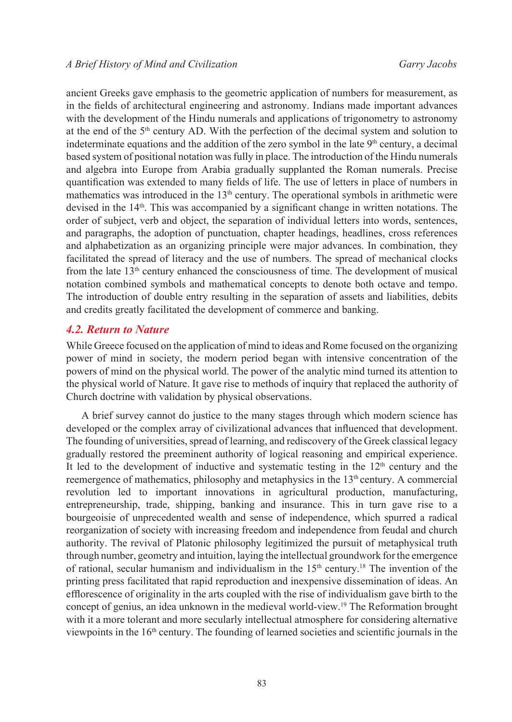ancient Greeks gave emphasis to the geometric application of numbers for measurement, as in the fields of architectural engineering and astronomy. Indians made important advances with the development of the Hindu numerals and applications of trigonometry to astronomy at the end of the  $5<sup>th</sup>$  century AD. With the perfection of the decimal system and solution to indeterminate equations and the addition of the zero symbol in the late  $9<sup>th</sup>$  century, a decimal based system of positional notation was fully in place. The introduction of the Hindu numerals and algebra into Europe from Arabia gradually supplanted the Roman numerals. Precise quantification was extended to many fields of life. The use of letters in place of numbers in mathematics was introduced in the  $13<sup>th</sup>$  century. The operational symbols in arithmetic were devised in the  $14<sup>th</sup>$ . This was accompanied by a significant change in written notations. The order of subject, verb and object, the separation of individual letters into words, sentences, and paragraphs, the adoption of punctuation, chapter headings, headlines, cross references and alphabetization as an organizing principle were major advances. In combination, they facilitated the spread of literacy and the use of numbers. The spread of mechanical clocks from the late  $13<sup>th</sup>$  century enhanced the consciousness of time. The development of musical notation combined symbols and mathematical concepts to denote both octave and tempo. The introduction of double entry resulting in the separation of assets and liabilities, debits and credits greatly facilitated the development of commerce and banking.

### *4.2. Return to Nature*

While Greece focused on the application of mind to ideas and Rome focused on the organizing power of mind in society, the modern period began with intensive concentration of the powers of mind on the physical world. The power of the analytic mind turned its attention to the physical world of Nature. It gave rise to methods of inquiry that replaced the authority of Church doctrine with validation by physical observations.

A brief survey cannot do justice to the many stages through which modern science has developed or the complex array of civilizational advances that influenced that development. The founding of universities, spread of learning, and rediscovery of the Greek classical legacy gradually restored the preeminent authority of logical reasoning and empirical experience. It led to the development of inductive and systematic testing in the  $12<sup>th</sup>$  century and the reemergence of mathematics, philosophy and metaphysics in the 13<sup>th</sup> century. A commercial revolution led to important innovations in agricultural production, manufacturing, entrepreneurship, trade, shipping, banking and insurance. This in turn gave rise to a bourgeoisie of unprecedented wealth and sense of independence, which spurred a radical reorganization of society with increasing freedom and independence from feudal and church authority. The revival of Platonic philosophy legitimized the pursuit of metaphysical truth through number, geometry and intuition, laying the intellectual groundwork for the emergence of rational, secular humanism and individualism in the  $15<sup>th</sup>$  century.<sup>[18](#page-38-17)</sup> The invention of the printing press facilitated that rapid reproduction and inexpensive dissemination of ideas. An efflorescence of originality in the arts coupled with the rise of individualism gave birth to the concept of genius, an idea unknown in the medieval world-view.[19](#page-38-18) The Reformation brought with it a more tolerant and more secularly intellectual atmosphere for considering alternative viewpoints in the  $16<sup>th</sup>$  century. The founding of learned societies and scientific journals in the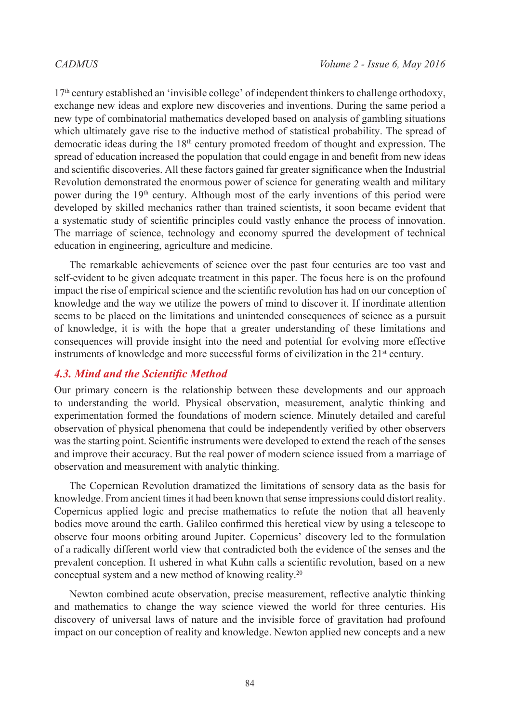17th century established an 'invisible college' of independent thinkers to challenge orthodoxy, exchange new ideas and explore new discoveries and inventions. During the same period a new type of combinatorial mathematics developed based on analysis of gambling situations which ultimately gave rise to the inductive method of statistical probability. The spread of democratic ideas during the 18th century promoted freedom of thought and expression. The spread of education increased the population that could engage in and benefit from new ideas and scientific discoveries. All these factors gained far greater significance when the Industrial Revolution demonstrated the enormous power of science for generating wealth and military power during the 19<sup>th</sup> century. Although most of the early inventions of this period were developed by skilled mechanics rather than trained scientists, it soon became evident that a systematic study of scientific principles could vastly enhance the process of innovation. The marriage of science, technology and economy spurred the development of technical education in engineering, agriculture and medicine.

The remarkable achievements of science over the past four centuries are too vast and self-evident to be given adequate treatment in this paper. The focus here is on the profound impact the rise of empirical science and the scientific revolution has had on our conception of knowledge and the way we utilize the powers of mind to discover it. If inordinate attention seems to be placed on the limitations and unintended consequences of science as a pursuit of knowledge, it is with the hope that a greater understanding of these limitations and consequences will provide insight into the need and potential for evolving more effective instruments of knowledge and more successful forms of civilization in the  $21<sup>st</sup>$  century.

# *4.3. Mind and the Scientific Method*

Our primary concern is the relationship between these developments and our approach to understanding the world. Physical observation, measurement, analytic thinking and experimentation formed the foundations of modern science. Minutely detailed and careful observation of physical phenomena that could be independently verified by other observers was the starting point. Scientific instruments were developed to extend the reach of the senses and improve their accuracy. But the real power of modern science issued from a marriage of observation and measurement with analytic thinking.

The Copernican Revolution dramatized the limitations of sensory data as the basis for knowledge. From ancient times it had been known that sense impressions could distort reality. Copernicus applied logic and precise mathematics to refute the notion that all heavenly bodies move around the earth. Galileo confirmed this heretical view by using a telescope to observe four moons orbiting around Jupiter. Copernicus' discovery led to the formulation of a radically different world view that contradicted both the evidence of the senses and the prevalent conception. It ushered in what Kuhn calls a scientific revolution, based on a new conceptual system and a new method of knowing reality[.20](#page-38-19)

Newton combined acute observation, precise measurement, reflective analytic thinking and mathematics to change the way science viewed the world for three centuries. His discovery of universal laws of nature and the invisible force of gravitation had profound impact on our conception of reality and knowledge. Newton applied new concepts and a new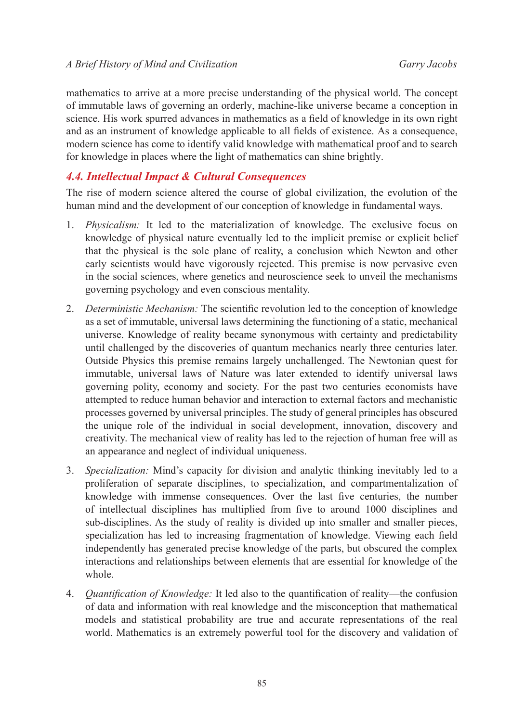mathematics to arrive at a more precise understanding of the physical world. The concept of immutable laws of governing an orderly, machine-like universe became a conception in science. His work spurred advances in mathematics as a field of knowledge in its own right and as an instrument of knowledge applicable to all fields of existence. As a consequence, modern science has come to identify valid knowledge with mathematical proof and to search for knowledge in places where the light of mathematics can shine brightly.

# *4.4. Intellectual Impact & Cultural Consequences*

The rise of modern science altered the course of global civilization, the evolution of the human mind and the development of our conception of knowledge in fundamental ways.

- 1. *Physicalism:* It led to the materialization of knowledge. The exclusive focus on knowledge of physical nature eventually led to the implicit premise or explicit belief that the physical is the sole plane of reality, a conclusion which Newton and other early scientists would have vigorously rejected. This premise is now pervasive even in the social sciences, where genetics and neuroscience seek to unveil the mechanisms governing psychology and even conscious mentality.
- 2. *Deterministic Mechanism:* The scientific revolution led to the conception of knowledge as a set of immutable, universal laws determining the functioning of a static, mechanical universe. Knowledge of reality became synonymous with certainty and predictability until challenged by the discoveries of quantum mechanics nearly three centuries later. Outside Physics this premise remains largely unchallenged. The Newtonian quest for immutable, universal laws of Nature was later extended to identify universal laws governing polity, economy and society. For the past two centuries economists have attempted to reduce human behavior and interaction to external factors and mechanistic processes governed by universal principles. The study of general principles has obscured the unique role of the individual in social development, innovation, discovery and creativity. The mechanical view of reality has led to the rejection of human free will as an appearance and neglect of individual uniqueness.
- 3. *Specialization:* Mind's capacity for division and analytic thinking inevitably led to a proliferation of separate disciplines, to specialization, and compartmentalization of knowledge with immense consequences. Over the last five centuries, the number of intellectual disciplines has multiplied from five to around 1000 disciplines and sub-disciplines. As the study of reality is divided up into smaller and smaller pieces, specialization has led to increasing fragmentation of knowledge. Viewing each field independently has generated precise knowledge of the parts, but obscured the complex interactions and relationships between elements that are essential for knowledge of the whole.
- 4. *Quantification of Knowledge:* It led also to the quantification of reality—the confusion of data and information with real knowledge and the misconception that mathematical models and statistical probability are true and accurate representations of the real world. Mathematics is an extremely powerful tool for the discovery and validation of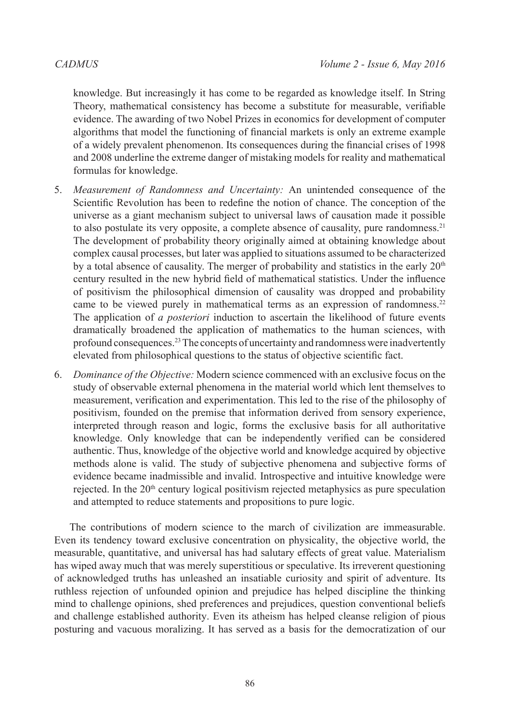knowledge. But increasingly it has come to be regarded as knowledge itself. In String Theory, mathematical consistency has become a substitute for measurable, verifiable evidence. The awarding of two Nobel Prizes in economics for development of computer algorithms that model the functioning of financial markets is only an extreme example of a widely prevalent phenomenon. Its consequences during the financial crises of 1998 and 2008 underline the extreme danger of mistaking models for reality and mathematical formulas for knowledge.

- 5. *Measurement of Randomness and Uncertainty:* An unintended consequence of the Scientific Revolution has been to redefine the notion of chance. The conception of the universe as a giant mechanism subject to universal laws of causation made it possible to also postulate its very opposite, a complete absence of causality, pure randomness.[21](#page-38-20) The development of probability theory originally aimed at obtaining knowledge about complex causal processes, but later was applied to situations assumed to be characterized by a total absence of causality. The merger of probability and statistics in the early  $20<sup>th</sup>$ century resulted in the new hybrid field of mathematical statistics. Under the influence of positivism the philosophical dimension of causality was dropped and probability came to be viewed purely in mathematical terms as an expression of randomness.<sup>[22](#page-38-21)</sup> The application of *a posteriori* induction to ascertain the likelihood of future events dramatically broadened the application of mathematics to the human sciences, with profound consequences.[23](#page-38-22) The concepts of uncertainty and randomness were inadvertently elevated from philosophical questions to the status of objective scientific fact.
- 6. *Dominance of the Objective:* Modern science commenced with an exclusive focus on the study of observable external phenomena in the material world which lent themselves to measurement, verification and experimentation. This led to the rise of the philosophy of positivism, founded on the premise that information derived from sensory experience, interpreted through reason and logic, forms the exclusive basis for all authoritative knowledge. Only knowledge that can be independently verified can be considered authentic. Thus, knowledge of the objective world and knowledge acquired by objective methods alone is valid. The study of subjective phenomena and subjective forms of evidence became inadmissible and invalid. Introspective and intuitive knowledge were rejected. In the 20<sup>th</sup> century logical positivism rejected metaphysics as pure speculation and attempted to reduce statements and propositions to pure logic.

The contributions of modern science to the march of civilization are immeasurable. Even its tendency toward exclusive concentration on physicality, the objective world, the measurable, quantitative, and universal has had salutary effects of great value. Materialism has wiped away much that was merely superstitious or speculative. Its irreverent questioning of acknowledged truths has unleashed an insatiable curiosity and spirit of adventure. Its ruthless rejection of unfounded opinion and prejudice has helped discipline the thinking mind to challenge opinions, shed preferences and prejudices, question conventional beliefs and challenge established authority. Even its atheism has helped cleanse religion of pious posturing and vacuous moralizing. It has served as a basis for the democratization of our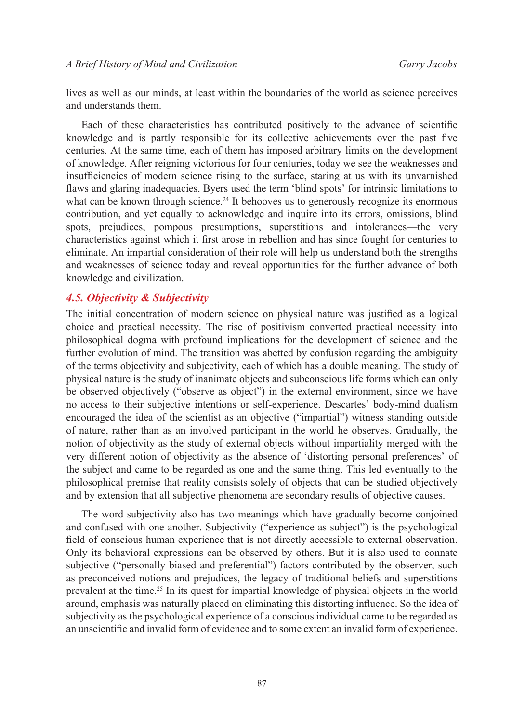lives as well as our minds, at least within the boundaries of the world as science perceives and understands them.

Each of these characteristics has contributed positively to the advance of scientific knowledge and is partly responsible for its collective achievements over the past five centuries. At the same time, each of them has imposed arbitrary limits on the development of knowledge. After reigning victorious for four centuries, today we see the weaknesses and insufficiencies of modern science rising to the surface, staring at us with its unvarnished flaws and glaring inadequacies. Byers used the term 'blind spots' for intrinsic limitations to what can be known through science.<sup>[24](#page-38-23)</sup> It behooves us to generously recognize its enormous contribution, and yet equally to acknowledge and inquire into its errors, omissions, blind spots, prejudices, pompous presumptions, superstitions and intolerances—the very characteristics against which it first arose in rebellion and has since fought for centuries to eliminate. An impartial consideration of their role will help us understand both the strengths and weaknesses of science today and reveal opportunities for the further advance of both knowledge and civilization.

### *4.5. Objectivity & Subjectivity*

The initial concentration of modern science on physical nature was justified as a logical choice and practical necessity. The rise of positivism converted practical necessity into philosophical dogma with profound implications for the development of science and the further evolution of mind. The transition was abetted by confusion regarding the ambiguity of the terms objectivity and subjectivity, each of which has a double meaning. The study of physical nature is the study of inanimate objects and subconscious life forms which can only be observed objectively ("observe as object") in the external environment, since we have no access to their subjective intentions or self-experience. Descartes' body-mind dualism encouraged the idea of the scientist as an objective ("impartial") witness standing outside of nature, rather than as an involved participant in the world he observes. Gradually, the notion of objectivity as the study of external objects without impartiality merged with the very different notion of objectivity as the absence of 'distorting personal preferences' of the subject and came to be regarded as one and the same thing. This led eventually to the philosophical premise that reality consists solely of objects that can be studied objectively and by extension that all subjective phenomena are secondary results of objective causes.

The word subjectivity also has two meanings which have gradually become conjoined and confused with one another. Subjectivity ("experience as subject") is the psychological field of conscious human experience that is not directly accessible to external observation. Only its behavioral expressions can be observed by others. But it is also used to connate subjective ("personally biased and preferential") factors contributed by the observer, such as preconceived notions and prejudices, the legacy of traditional beliefs and superstitions prevalent at the time.[25](#page-38-24) In its quest for impartial knowledge of physical objects in the world around, emphasis was naturally placed on eliminating this distorting influence. So the idea of subjectivity as the psychological experience of a conscious individual came to be regarded as an unscientific and invalid form of evidence and to some extent an invalid form of experience.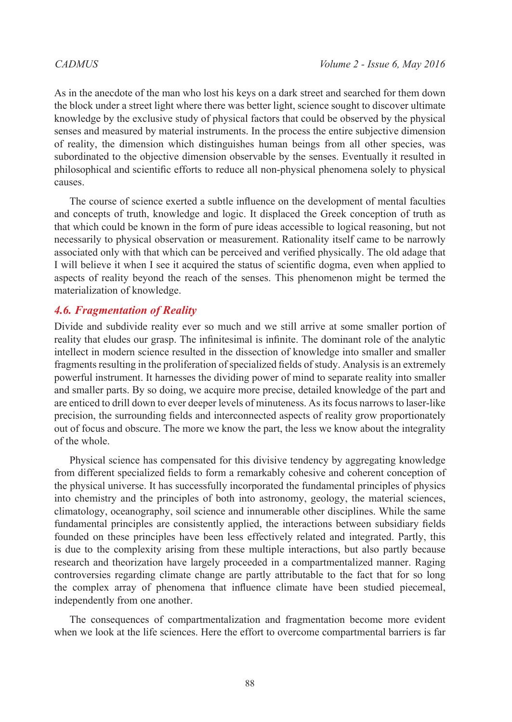As in the anecdote of the man who lost his keys on a dark street and searched for them down the block under a street light where there was better light, science sought to discover ultimate knowledge by the exclusive study of physical factors that could be observed by the physical senses and measured by material instruments. In the process the entire subjective dimension of reality, the dimension which distinguishes human beings from all other species, was subordinated to the objective dimension observable by the senses. Eventually it resulted in philosophical and scientific efforts to reduce all non-physical phenomena solely to physical causes.

The course of science exerted a subtle influence on the development of mental faculties and concepts of truth, knowledge and logic. It displaced the Greek conception of truth as that which could be known in the form of pure ideas accessible to logical reasoning, but not necessarily to physical observation or measurement. Rationality itself came to be narrowly associated only with that which can be perceived and verified physically. The old adage that I will believe it when I see it acquired the status of scientific dogma, even when applied to aspects of reality beyond the reach of the senses. This phenomenon might be termed the materialization of knowledge.

## *4.6. Fragmentation of Reality*

Divide and subdivide reality ever so much and we still arrive at some smaller portion of reality that eludes our grasp. The infinitesimal is infinite. The dominant role of the analytic intellect in modern science resulted in the dissection of knowledge into smaller and smaller fragments resulting in the proliferation of specialized fields of study. Analysis is an extremely powerful instrument. It harnesses the dividing power of mind to separate reality into smaller and smaller parts. By so doing, we acquire more precise, detailed knowledge of the part and are enticed to drill down to ever deeper levels of minuteness. As its focus narrows to laser-like precision, the surrounding fields and interconnected aspects of reality grow proportionately out of focus and obscure. The more we know the part, the less we know about the integrality of the whole.

Physical science has compensated for this divisive tendency by aggregating knowledge from different specialized fields to form a remarkably cohesive and coherent conception of the physical universe. It has successfully incorporated the fundamental principles of physics into chemistry and the principles of both into astronomy, geology, the material sciences, climatology, oceanography, soil science and innumerable other disciplines. While the same fundamental principles are consistently applied, the interactions between subsidiary fields founded on these principles have been less effectively related and integrated. Partly, this is due to the complexity arising from these multiple interactions, but also partly because research and theorization have largely proceeded in a compartmentalized manner. Raging controversies regarding climate change are partly attributable to the fact that for so long the complex array of phenomena that influence climate have been studied piecemeal, independently from one another.

The consequences of compartmentalization and fragmentation become more evident when we look at the life sciences. Here the effort to overcome compartmental barriers is far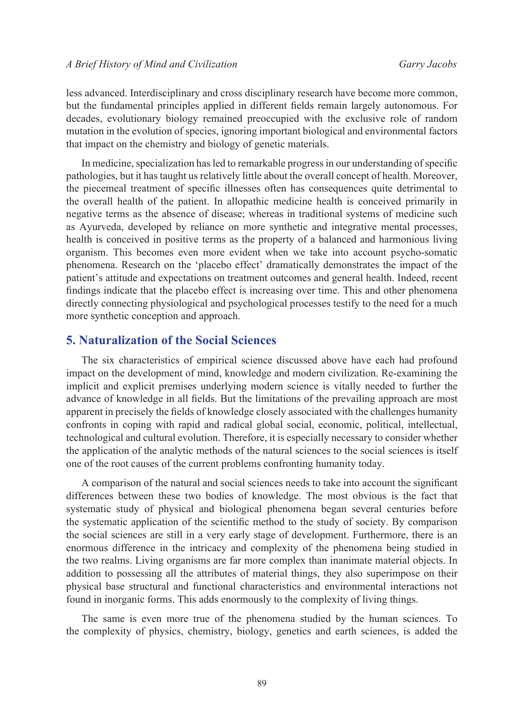less advanced. Interdisciplinary and cross disciplinary research have become more common, but the fundamental principles applied in different fields remain largely autonomous. For decades, evolutionary biology remained preoccupied with the exclusive role of random mutation in the evolution of species, ignoring important biological and environmental factors that impact on the chemistry and biology of genetic materials.

In medicine, specialization has led to remarkable progress in our understanding of specific pathologies, but it has taught us relatively little about the overall concept of health. Moreover, the piecemeal treatment of specific illnesses often has consequences quite detrimental to the overall health of the patient. In allopathic medicine health is conceived primarily in negative terms as the absence of disease; whereas in traditional systems of medicine such as Ayurveda, developed by reliance on more synthetic and integrative mental processes, health is conceived in positive terms as the property of a balanced and harmonious living organism. This becomes even more evident when we take into account psycho-somatic phenomena. Research on the 'placebo effect' dramatically demonstrates the impact of the patient's attitude and expectations on treatment outcomes and general health. Indeed, recent findings indicate that the placebo effect is increasing over time. This and other phenomena directly connecting physiological and psychological processes testify to the need for a much more synthetic conception and approach.

## **5. Naturalization of the Social Sciences**

The six characteristics of empirical science discussed above have each had profound impact on the development of mind, knowledge and modern civilization. Re-examining the implicit and explicit premises underlying modern science is vitally needed to further the advance of knowledge in all fields. But the limitations of the prevailing approach are most apparent in precisely the fields of knowledge closely associated with the challenges humanity confronts in coping with rapid and radical global social, economic, political, intellectual, technological and cultural evolution. Therefore, it is especially necessary to consider whether the application of the analytic methods of the natural sciences to the social sciences is itself one of the root causes of the current problems confronting humanity today.

A comparison of the natural and social sciences needs to take into account the significant differences between these two bodies of knowledge. The most obvious is the fact that systematic study of physical and biological phenomena began several centuries before the systematic application of the scientific method to the study of society. By comparison the social sciences are still in a very early stage of development. Furthermore, there is an enormous difference in the intricacy and complexity of the phenomena being studied in the two realms. Living organisms are far more complex than inanimate material objects. In addition to possessing all the attributes of material things, they also superimpose on their physical base structural and functional characteristics and environmental interactions not found in inorganic forms. This adds enormously to the complexity of living things.

The same is even more true of the phenomena studied by the human sciences. To the complexity of physics, chemistry, biology, genetics and earth sciences, is added the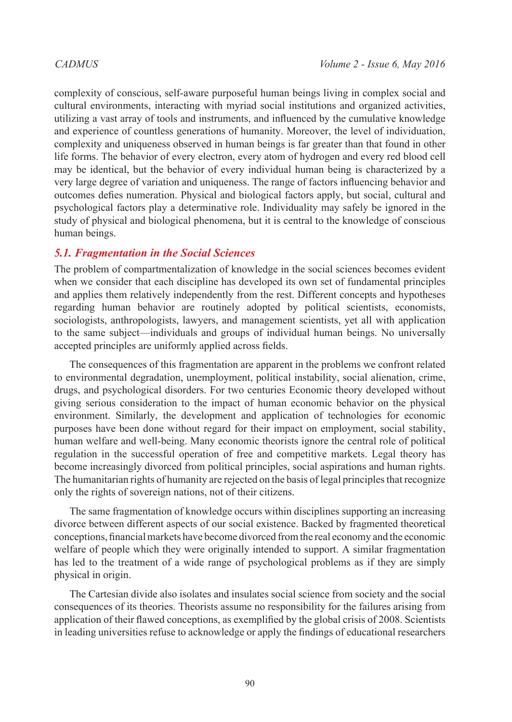complexity of conscious, self-aware purposeful human beings living in complex social and cultural environments, interacting with myriad social institutions and organized activities, utilizing a vast array of tools and instruments, and influenced by the cumulative knowledge and experience of countless generations of humanity. Moreover, the level of individuation, complexity and uniqueness observed in human beings is far greater than that found in other life forms. The behavior of every electron, every atom of hydrogen and every red blood cell may be identical, but the behavior of every individual human being is characterized by a very large degree of variation and uniqueness. The range of factors influencing behavior and outcomes defies numeration. Physical and biological factors apply, but social, cultural and psychological factors play a determinative role. Individuality may safely be ignored in the study of physical and biological phenomena, but it is central to the knowledge of conscious human beings.

### *5.1. Fragmentation in the Social Sciences*

The problem of compartmentalization of knowledge in the social sciences becomes evident when we consider that each discipline has developed its own set of fundamental principles and applies them relatively independently from the rest. Different concepts and hypotheses regarding human behavior are routinely adopted by political scientists, economists, sociologists, anthropologists, lawyers, and management scientists, yet all with application to the same subject—individuals and groups of individual human beings. No universally accepted principles are uniformly applied across fields.

The consequences of this fragmentation are apparent in the problems we confront related to environmental degradation, unemployment, political instability, social alienation, crime, drugs, and psychological disorders. For two centuries Economic theory developed without giving serious consideration to the impact of human economic behavior on the physical environment. Similarly, the development and application of technologies for economic purposes have been done without regard for their impact on employment, social stability, human welfare and well-being. Many economic theorists ignore the central role of political regulation in the successful operation of free and competitive markets. Legal theory has become increasingly divorced from political principles, social aspirations and human rights. The humanitarian rights of humanity are rejected on the basis of legal principles that recognize only the rights of sovereign nations, not of their citizens.

The same fragmentation of knowledge occurs within disciplines supporting an increasing divorce between different aspects of our social existence. Backed by fragmented theoretical conceptions, financial markets have become divorced from the real economy and the economic welfare of people which they were originally intended to support. A similar fragmentation has led to the treatment of a wide range of psychological problems as if they are simply physical in origin.

The Cartesian divide also isolates and insulates social science from society and the social consequences of its theories. Theorists assume no responsibility for the failures arising from application of their flawed conceptions, as exemplified by the global crisis of 2008. Scientists in leading universities refuse to acknowledge or apply the findings of educational researchers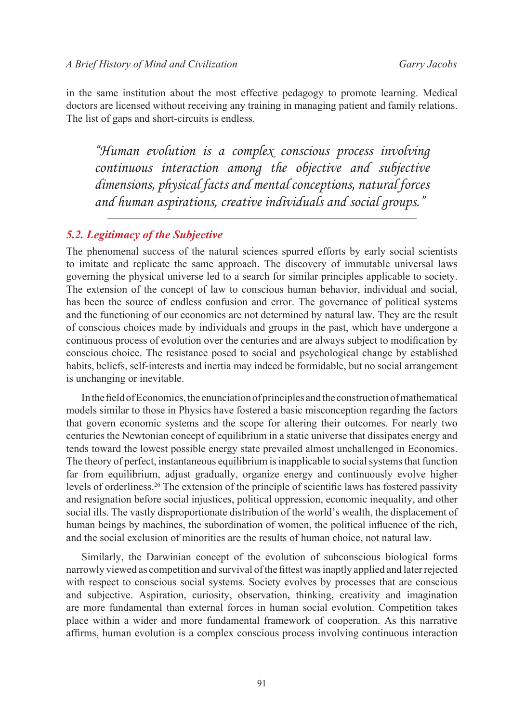in the same institution about the most effective pedagogy to promote learning. Medical doctors are licensed without receiving any training in managing patient and family relations. The list of gaps and short-circuits is endless.

*"Human evolution is a complex conscious process involving continuous interaction among the objective and subjective dimensions, physical facts and mental conceptions, natural forces and human aspirations, creative individuals and social groups."*

# *5.2. Legitimacy of the Subjective*

The phenomenal success of the natural sciences spurred efforts by early social scientists to imitate and replicate the same approach. The discovery of immutable universal laws governing the physical universe led to a search for similar principles applicable to society. The extension of the concept of law to conscious human behavior, individual and social, has been the source of endless confusion and error. The governance of political systems and the functioning of our economies are not determined by natural law. They are the result of conscious choices made by individuals and groups in the past, which have undergone a continuous process of evolution over the centuries and are always subject to modification by conscious choice. The resistance posed to social and psychological change by established habits, beliefs, self-interests and inertia may indeed be formidable, but no social arrangement is unchanging or inevitable.

In the field of Economics, the enunciation of principles and the construction of mathematical models similar to those in Physics have fostered a basic misconception regarding the factors that govern economic systems and the scope for altering their outcomes. For nearly two centuries the Newtonian concept of equilibrium in a static universe that dissipates energy and tends toward the lowest possible energy state prevailed almost unchallenged in Economics. The theory of perfect, instantaneous equilibrium is inapplicable to social systems that function far from equilibrium, adjust gradually, organize energy and continuously evolve higher levels of orderliness.[26](#page-38-25) The extension of the principle of scientific laws has fostered passivity and resignation before social injustices, political oppression, economic inequality, and other social ills. The vastly disproportionate distribution of the world's wealth, the displacement of human beings by machines, the subordination of women, the political influence of the rich, and the social exclusion of minorities are the results of human choice, not natural law.

Similarly, the Darwinian concept of the evolution of subconscious biological forms narrowly viewed as competition and survival of the fittest was inaptly applied and later rejected with respect to conscious social systems. Society evolves by processes that are conscious and subjective. Aspiration, curiosity, observation, thinking, creativity and imagination are more fundamental than external forces in human social evolution. Competition takes place within a wider and more fundamental framework of cooperation. As this narrative affirms, human evolution is a complex conscious process involving continuous interaction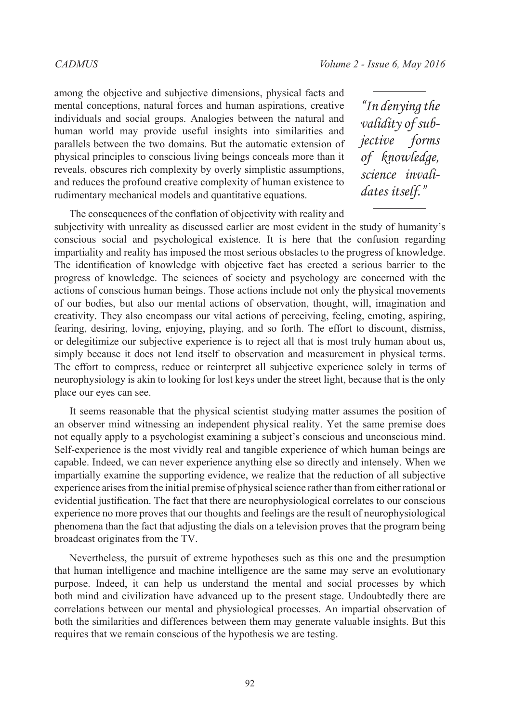among the objective and subjective dimensions, physical facts and mental conceptions, natural forces and human aspirations, creative individuals and social groups. Analogies between the natural and human world may provide useful insights into similarities and parallels between the two domains. But the automatic extension of physical principles to conscious living beings conceals more than it reveals, obscures rich complexity by overly simplistic assumptions, and reduces the profound creative complexity of human existence to rudimentary mechanical models and quantitative equations.

*"In denying the validity of subjective forms of knowledge, science invalidates itself."*

The consequences of the conflation of objectivity with reality and subjectivity with unreality as discussed earlier are most evident in the study of humanity's conscious social and psychological existence. It is here that the confusion regarding impartiality and reality has imposed the most serious obstacles to the progress of knowledge. The identification of knowledge with objective fact has erected a serious barrier to the progress of knowledge. The sciences of society and psychology are concerned with the actions of conscious human beings. Those actions include not only the physical movements of our bodies, but also our mental actions of observation, thought, will, imagination and creativity. They also encompass our vital actions of perceiving, feeling, emoting, aspiring, fearing, desiring, loving, enjoying, playing, and so forth. The effort to discount, dismiss, or delegitimize our subjective experience is to reject all that is most truly human about us, simply because it does not lend itself to observation and measurement in physical terms. The effort to compress, reduce or reinterpret all subjective experience solely in terms of neurophysiology is akin to looking for lost keys under the street light, because that is the only place our eyes can see.

It seems reasonable that the physical scientist studying matter assumes the position of an observer mind witnessing an independent physical reality. Yet the same premise does not equally apply to a psychologist examining a subject's conscious and unconscious mind. Self-experience is the most vividly real and tangible experience of which human beings are capable. Indeed, we can never experience anything else so directly and intensely. When we impartially examine the supporting evidence, we realize that the reduction of all subjective experience arises from the initial premise of physical science rather than from either rational or evidential justification. The fact that there are neurophysiological correlates to our conscious experience no more proves that our thoughts and feelings are the result of neurophysiological phenomena than the fact that adjusting the dials on a television proves that the program being broadcast originates from the TV.

Nevertheless, the pursuit of extreme hypotheses such as this one and the presumption that human intelligence and machine intelligence are the same may serve an evolutionary purpose. Indeed, it can help us understand the mental and social processes by which both mind and civilization have advanced up to the present stage. Undoubtedly there are correlations between our mental and physiological processes. An impartial observation of both the similarities and differences between them may generate valuable insights. But this requires that we remain conscious of the hypothesis we are testing.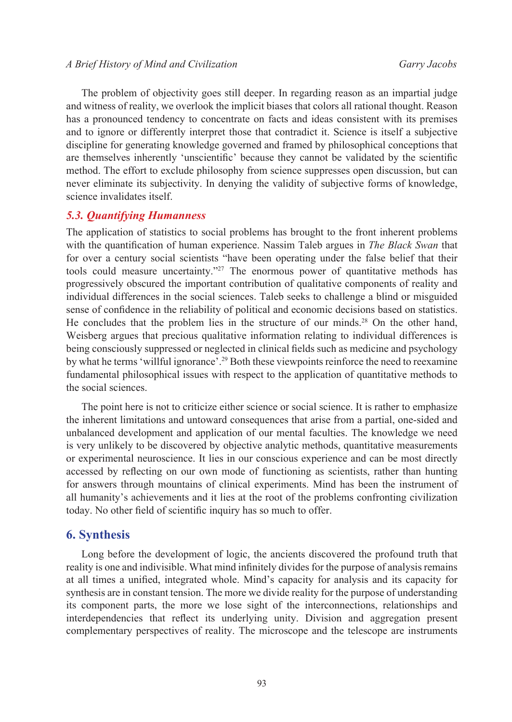The problem of objectivity goes still deeper. In regarding reason as an impartial judge and witness of reality, we overlook the implicit biases that colors all rational thought. Reason has a pronounced tendency to concentrate on facts and ideas consistent with its premises and to ignore or differently interpret those that contradict it. Science is itself a subjective discipline for generating knowledge governed and framed by philosophical conceptions that are themselves inherently 'unscientific' because they cannot be validated by the scientific method. The effort to exclude philosophy from science suppresses open discussion, but can never eliminate its subjectivity. In denying the validity of subjective forms of knowledge, science invalidates itself.

### *5.3. Quantifying Humanness*

The application of statistics to social problems has brought to the front inherent problems with the quantification of human experience. Nassim Taleb argues in *The Black Swan* that for over a century social scientists "have been operating under the false belief that their tools could measure uncertainty."[27](#page-38-26) The enormous power of quantitative methods has progressively obscured the important contribution of qualitative components of reality and individual differences in the social sciences. Taleb seeks to challenge a blind or misguided sense of confidence in the reliability of political and economic decisions based on statistics. He concludes that the problem lies in the structure of our minds.[28](#page-38-27) On the other hand, Weisberg argues that precious qualitative information relating to individual differences is being consciously suppressed or neglected in clinical fields such as medicine and psychology by what he terms 'willful ignorance'.[29](#page-38-28) Both these viewpoints reinforce the need to reexamine fundamental philosophical issues with respect to the application of quantitative methods to the social sciences.

The point here is not to criticize either science or social science. It is rather to emphasize the inherent limitations and untoward consequences that arise from a partial, one-sided and unbalanced development and application of our mental faculties. The knowledge we need is very unlikely to be discovered by objective analytic methods, quantitative measurements or experimental neuroscience. It lies in our conscious experience and can be most directly accessed by reflecting on our own mode of functioning as scientists, rather than hunting for answers through mountains of clinical experiments. Mind has been the instrument of all humanity's achievements and it lies at the root of the problems confronting civilization today. No other field of scientific inquiry has so much to offer.

### **6. Synthesis**

Long before the development of logic, the ancients discovered the profound truth that reality is one and indivisible. What mind infinitely divides for the purpose of analysis remains at all times a unified, integrated whole. Mind's capacity for analysis and its capacity for synthesis are in constant tension. The more we divide reality for the purpose of understanding its component parts, the more we lose sight of the interconnections, relationships and interdependencies that reflect its underlying unity. Division and aggregation present complementary perspectives of reality. The microscope and the telescope are instruments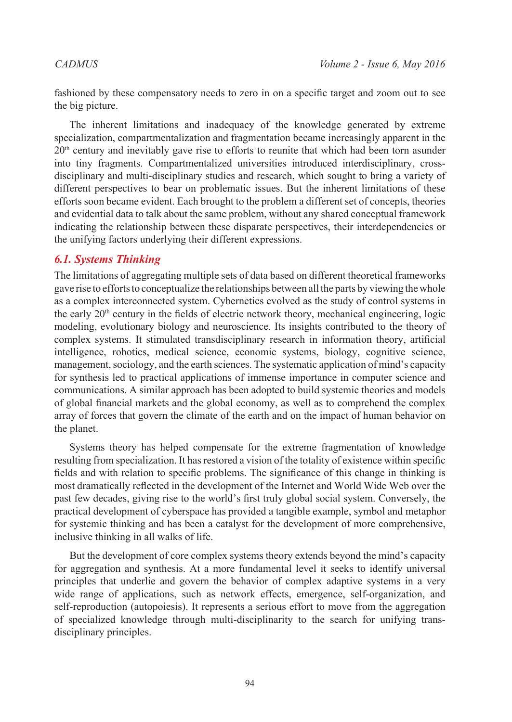fashioned by these compensatory needs to zero in on a specific target and zoom out to see the big picture.

The inherent limitations and inadequacy of the knowledge generated by extreme specialization, compartmentalization and fragmentation became increasingly apparent in the  $20<sup>th</sup>$  century and inevitably gave rise to efforts to reunite that which had been torn asunder into tiny fragments. Compartmentalized universities introduced interdisciplinary, crossdisciplinary and multi-disciplinary studies and research, which sought to bring a variety of different perspectives to bear on problematic issues. But the inherent limitations of these efforts soon became evident. Each brought to the problem a different set of concepts, theories and evidential data to talk about the same problem, without any shared conceptual framework indicating the relationship between these disparate perspectives, their interdependencies or the unifying factors underlying their different expressions.

# *6.1. Systems Thinking*

The limitations of aggregating multiple sets of data based on different theoretical frameworks gave rise to efforts to conceptualize the relationships between all the parts by viewing the whole as a complex interconnected system. Cybernetics evolved as the study of control systems in the early 20<sup>th</sup> century in the fields of electric network theory, mechanical engineering, logic modeling, evolutionary biology and neuroscience. Its insights contributed to the theory of complex systems. It stimulated transdisciplinary research in information theory, artificial intelligence, robotics, medical science, economic systems, biology, cognitive science, management, sociology, and the earth sciences. The systematic application of mind's capacity for synthesis led to practical applications of immense importance in computer science and communications. A similar approach has been adopted to build systemic theories and models of global financial markets and the global economy, as well as to comprehend the complex array of forces that govern the climate of the earth and on the impact of human behavior on the planet.

Systems theory has helped compensate for the extreme fragmentation of knowledge resulting from specialization. It has restored a vision of the totality of existence within specific fields and with relation to specific problems. The significance of this change in thinking is most dramatically reflected in the development of the Internet and World Wide Web over the past few decades, giving rise to the world's first truly global social system. Conversely, the practical development of cyberspace has provided a tangible example, symbol and metaphor for systemic thinking and has been a catalyst for the development of more comprehensive, inclusive thinking in all walks of life.

But the development of core complex systems theory extends beyond the mind's capacity for aggregation and synthesis. At a more fundamental level it seeks to identify universal principles that underlie and govern the behavior of complex adaptive systems in a very wide range of applications, such as network effects, emergence, self-organization, and self-reproduction (autopoiesis). It represents a serious effort to move from the aggregation of specialized knowledge through multi-disciplinarity to the search for unifying transdisciplinary principles.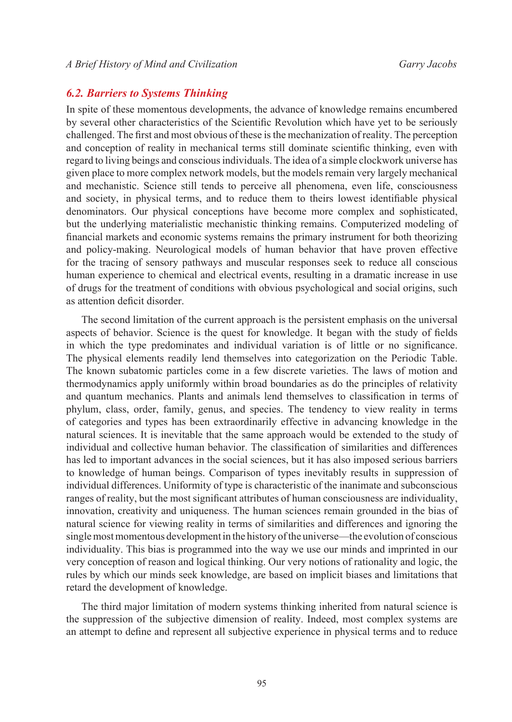# *6.2. Barriers to Systems Thinking*

In spite of these momentous developments, the advance of knowledge remains encumbered by several other characteristics of the Scientific Revolution which have yet to be seriously challenged. The first and most obvious of these is the mechanization of reality. The perception and conception of reality in mechanical terms still dominate scientific thinking, even with regard to living beings and conscious individuals. The idea of a simple clockwork universe has given place to more complex network models, but the models remain very largely mechanical and mechanistic. Science still tends to perceive all phenomena, even life, consciousness and society, in physical terms, and to reduce them to theirs lowest identifiable physical denominators. Our physical conceptions have become more complex and sophisticated, but the underlying materialistic mechanistic thinking remains. Computerized modeling of financial markets and economic systems remains the primary instrument for both theorizing and policy-making. Neurological models of human behavior that have proven effective for the tracing of sensory pathways and muscular responses seek to reduce all conscious human experience to chemical and electrical events, resulting in a dramatic increase in use of drugs for the treatment of conditions with obvious psychological and social origins, such as attention deficit disorder.

The second limitation of the current approach is the persistent emphasis on the universal aspects of behavior. Science is the quest for knowledge. It began with the study of fields in which the type predominates and individual variation is of little or no significance. The physical elements readily lend themselves into categorization on the Periodic Table. The known subatomic particles come in a few discrete varieties. The laws of motion and thermodynamics apply uniformly within broad boundaries as do the principles of relativity and quantum mechanics. Plants and animals lend themselves to classification in terms of phylum, class, order, family, genus, and species. The tendency to view reality in terms of categories and types has been extraordinarily effective in advancing knowledge in the natural sciences. It is inevitable that the same approach would be extended to the study of individual and collective human behavior. The classification of similarities and differences has led to important advances in the social sciences, but it has also imposed serious barriers to knowledge of human beings. Comparison of types inevitably results in suppression of individual differences. Uniformity of type is characteristic of the inanimate and subconscious ranges of reality, but the most significant attributes of human consciousness are individuality, innovation, creativity and uniqueness. The human sciences remain grounded in the bias of natural science for viewing reality in terms of similarities and differences and ignoring the single most momentous development in the history of the universe—the evolution of conscious individuality. This bias is programmed into the way we use our minds and imprinted in our very conception of reason and logical thinking. Our very notions of rationality and logic, the rules by which our minds seek knowledge, are based on implicit biases and limitations that retard the development of knowledge.

The third major limitation of modern systems thinking inherited from natural science is the suppression of the subjective dimension of reality. Indeed, most complex systems are an attempt to define and represent all subjective experience in physical terms and to reduce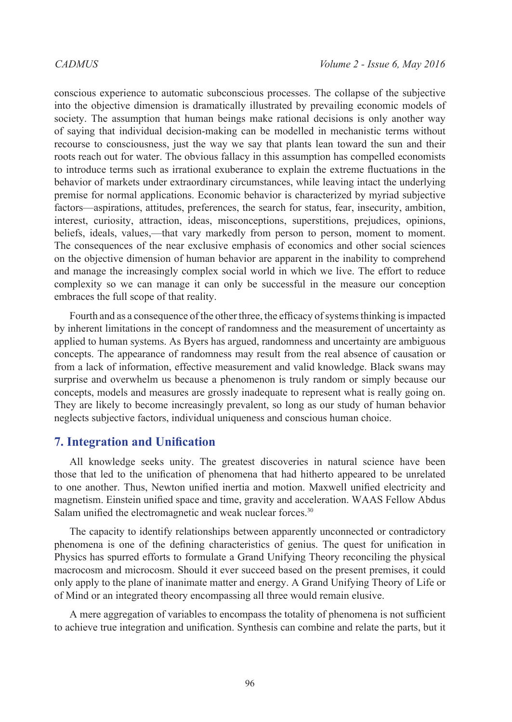conscious experience to automatic subconscious processes. The collapse of the subjective into the objective dimension is dramatically illustrated by prevailing economic models of society. The assumption that human beings make rational decisions is only another way of saying that individual decision-making can be modelled in mechanistic terms without recourse to consciousness, just the way we say that plants lean toward the sun and their roots reach out for water. The obvious fallacy in this assumption has compelled economists to introduce terms such as irrational exuberance to explain the extreme fluctuations in the behavior of markets under extraordinary circumstances, while leaving intact the underlying premise for normal applications. Economic behavior is characterized by myriad subjective factors—aspirations, attitudes, preferences, the search for status, fear, insecurity, ambition, interest, curiosity, attraction, ideas, misconceptions, superstitions, prejudices, opinions, beliefs, ideals, values,—that vary markedly from person to person, moment to moment. The consequences of the near exclusive emphasis of economics and other social sciences on the objective dimension of human behavior are apparent in the inability to comprehend and manage the increasingly complex social world in which we live. The effort to reduce complexity so we can manage it can only be successful in the measure our conception embraces the full scope of that reality.

Fourth and as a consequence of the other three, the efficacy of systems thinking is impacted by inherent limitations in the concept of randomness and the measurement of uncertainty as applied to human systems. As Byers has argued, randomness and uncertainty are ambiguous concepts. The appearance of randomness may result from the real absence of causation or from a lack of information, effective measurement and valid knowledge. Black swans may surprise and overwhelm us because a phenomenon is truly random or simply because our concepts, models and measures are grossly inadequate to represent what is really going on. They are likely to become increasingly prevalent, so long as our study of human behavior neglects subjective factors, individual uniqueness and conscious human choice.

# **7. Integration and Unification**

All knowledge seeks unity. The greatest discoveries in natural science have been those that led to the unification of phenomena that had hitherto appeared to be unrelated to one another. Thus, Newton unified inertia and motion. Maxwell unified electricity and magnetism. Einstein unified space and time, gravity and acceleration. WAAS Fellow Abdus Salam unified the electromagnetic and weak nuclear forces.<sup>30</sup>

The capacity to identify relationships between apparently unconnected or contradictory phenomena is one of the defining characteristics of genius. The quest for unification in Physics has spurred efforts to formulate a Grand Unifying Theory reconciling the physical macrocosm and microcosm. Should it ever succeed based on the present premises, it could only apply to the plane of inanimate matter and energy. A Grand Unifying Theory of Life or of Mind or an integrated theory encompassing all three would remain elusive.

A mere aggregation of variables to encompass the totality of phenomena is not sufficient to achieve true integration and unification. Synthesis can combine and relate the parts, but it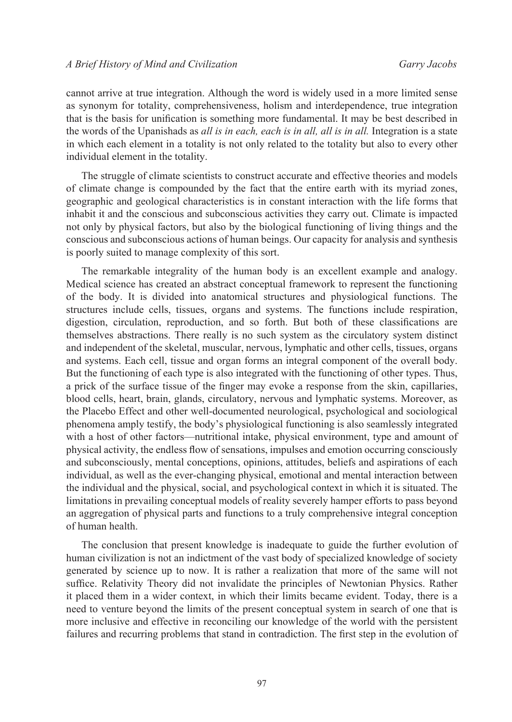cannot arrive at true integration. Although the word is widely used in a more limited sense as synonym for totality, comprehensiveness, holism and interdependence, true integration that is the basis for unification is something more fundamental. It may be best described in the words of the Upanishads as *all is in each, each is in all, all is in all.* Integration is a state in which each element in a totality is not only related to the totality but also to every other individual element in the totality.

The struggle of climate scientists to construct accurate and effective theories and models of climate change is compounded by the fact that the entire earth with its myriad zones, geographic and geological characteristics is in constant interaction with the life forms that inhabit it and the conscious and subconscious activities they carry out. Climate is impacted not only by physical factors, but also by the biological functioning of living things and the conscious and subconscious actions of human beings. Our capacity for analysis and synthesis is poorly suited to manage complexity of this sort.

The remarkable integrality of the human body is an excellent example and analogy. Medical science has created an abstract conceptual framework to represent the functioning of the body. It is divided into anatomical structures and physiological functions. The structures include cells, tissues, organs and systems. The functions include respiration, digestion, circulation, reproduction, and so forth. But both of these classifications are themselves abstractions. There really is no such system as the circulatory system distinct and independent of the skeletal, muscular, nervous, lymphatic and other cells, tissues, organs and systems. Each cell, tissue and organ forms an integral component of the overall body. But the functioning of each type is also integrated with the functioning of other types. Thus, a prick of the surface tissue of the finger may evoke a response from the skin, capillaries, blood cells, heart, brain, glands, circulatory, nervous and lymphatic systems. Moreover, as the Placebo Effect and other well-documented neurological, psychological and sociological phenomena amply testify, the body's physiological functioning is also seamlessly integrated with a host of other factors—nutritional intake, physical environment, type and amount of physical activity, the endless flow of sensations, impulses and emotion occurring consciously and subconsciously, mental conceptions, opinions, attitudes, beliefs and aspirations of each individual, as well as the ever-changing physical, emotional and mental interaction between the individual and the physical, social, and psychological context in which it is situated. The limitations in prevailing conceptual models of reality severely hamper efforts to pass beyond an aggregation of physical parts and functions to a truly comprehensive integral conception of human health.

The conclusion that present knowledge is inadequate to guide the further evolution of human civilization is not an indictment of the vast body of specialized knowledge of society generated by science up to now. It is rather a realization that more of the same will not suffice. Relativity Theory did not invalidate the principles of Newtonian Physics. Rather it placed them in a wider context, in which their limits became evident. Today, there is a need to venture beyond the limits of the present conceptual system in search of one that is more inclusive and effective in reconciling our knowledge of the world with the persistent failures and recurring problems that stand in contradiction. The first step in the evolution of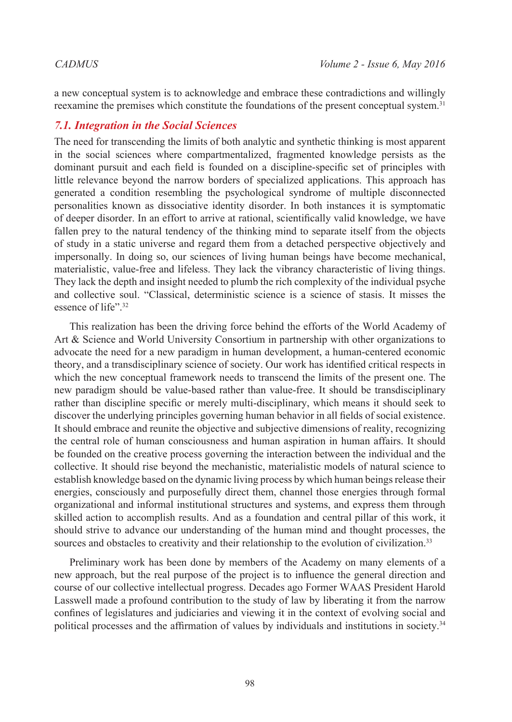a new conceptual system is to acknowledge and embrace these contradictions and willingly reexamine the premises which constitute the foundations of the present conceptual system.[31](#page-38-30)

# *7.1. Integration in the Social Sciences*

The need for transcending the limits of both analytic and synthetic thinking is most apparent in the social sciences where compartmentalized, fragmented knowledge persists as the dominant pursuit and each field is founded on a discipline-specific set of principles with little relevance beyond the narrow borders of specialized applications. This approach has generated a condition resembling the psychological syndrome of multiple disconnected personalities known as dissociative identity disorder. In both instances it is symptomatic of deeper disorder. In an effort to arrive at rational, scientifically valid knowledge, we have fallen prey to the natural tendency of the thinking mind to separate itself from the objects of study in a static universe and regard them from a detached perspective objectively and impersonally. In doing so, our sciences of living human beings have become mechanical, materialistic, value-free and lifeless. They lack the vibrancy characteristic of living things. They lack the depth and insight needed to plumb the rich complexity of the individual psyche and collective soul. "Classical, deterministic science is a science of stasis. It misses the essence of life".[32](#page-39-0)

This realization has been the driving force behind the efforts of the World Academy of Art & Science and World University Consortium in partnership with other organizations to advocate the need for a new paradigm in human development, a human-centered economic theory, and a transdisciplinary science of society. Our work has identified critical respects in which the new conceptual framework needs to transcend the limits of the present one. The new paradigm should be value-based rather than value-free. It should be transdisciplinary rather than discipline specific or merely multi-disciplinary, which means it should seek to discover the underlying principles governing human behavior in all fields of social existence. It should embrace and reunite the objective and subjective dimensions of reality, recognizing the central role of human consciousness and human aspiration in human affairs. It should be founded on the creative process governing the interaction between the individual and the collective. It should rise beyond the mechanistic, materialistic models of natural science to establish knowledge based on the dynamic living process by which human beings release their energies, consciously and purposefully direct them, channel those energies through formal organizational and informal institutional structures and systems, and express them through skilled action to accomplish results. And as a foundation and central pillar of this work, it should strive to advance our understanding of the human mind and thought processes, the sources and obstacles to creativity and their relationship to the evolution of civilization.<sup>[33](#page-39-1)</sup>

Preliminary work has been done by members of the Academy on many elements of a new approach, but the real purpose of the project is to influence the general direction and course of our collective intellectual progress. Decades ago Former WAAS President Harold Lasswell made a profound contribution to the study of law by liberating it from the narrow confines of legislatures and judiciaries and viewing it in the context of evolving social and political processes and the affirmation of values by individuals and institutions in society.[34](#page-39-2)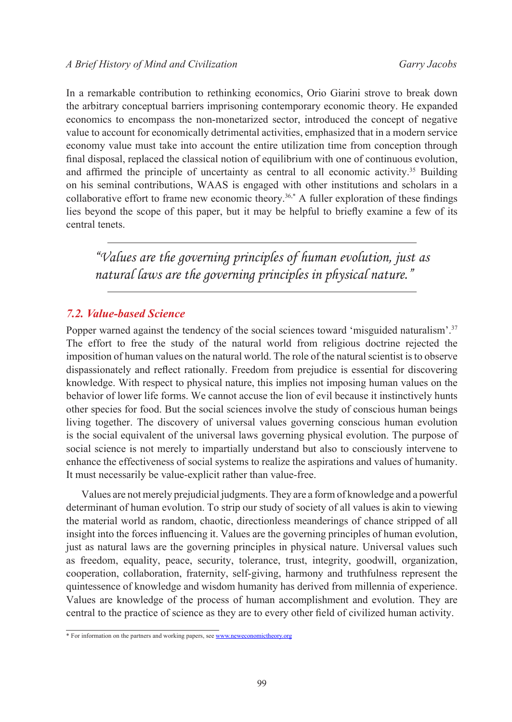In a remarkable contribution to rethinking economics, Orio Giarini strove to break down the arbitrary conceptual barriers imprisoning contemporary economic theory. He expanded economics to encompass the non-monetarized sector, introduced the concept of negative value to account for economically detrimental activities, emphasized that in a modern service economy value must take into account the entire utilization time from conception through final disposal, replaced the classical notion of equilibrium with one of continuous evolution, and affirmed the principle of uncertainty as central to all economic activity.<sup>[35](#page-39-3)</sup> Building on his seminal contributions, WAAS is engaged with other institutions and scholars in a collaborative effort to frame new economic theory.<sup>[36](#page-39-4),\*</sup> A fuller exploration of these findings lies beyond the scope of this paper, but it may be helpful to briefly examine a few of its central tenets.

*"Values are the governing principles of human evolution, just as natural laws are the governing principles in physical nature."*

## *7.2. Value-based Science*

Popper warned against the tendency of the social sciences toward 'misguided naturalism'.<sup>[37](#page-39-5)</sup> The effort to free the study of the natural world from religious doctrine rejected the imposition of human values on the natural world. The role of the natural scientist is to observe dispassionately and reflect rationally. Freedom from prejudice is essential for discovering knowledge. With respect to physical nature, this implies not imposing human values on the behavior of lower life forms. We cannot accuse the lion of evil because it instinctively hunts other species for food. But the social sciences involve the study of conscious human beings living together. The discovery of universal values governing conscious human evolution is the social equivalent of the universal laws governing physical evolution. The purpose of social science is not merely to impartially understand but also to consciously intervene to enhance the effectiveness of social systems to realize the aspirations and values of humanity. It must necessarily be value-explicit rather than value-free.

Values are not merely prejudicial judgments. They are a form of knowledge and a powerful determinant of human evolution. To strip our study of society of all values is akin to viewing the material world as random, chaotic, directionless meanderings of chance stripped of all insight into the forces influencing it. Values are the governing principles of human evolution, just as natural laws are the governing principles in physical nature. Universal values such as freedom, equality, peace, security, tolerance, trust, integrity, goodwill, organization, cooperation, collaboration, fraternity, self-giving, harmony and truthfulness represent the quintessence of knowledge and wisdom humanity has derived from millennia of experience. Values are knowledge of the process of human accomplishment and evolution. They are central to the practice of science as they are to every other field of civilized human activity.

<sup>\*</sup> For information on the partners and working papers, see [www.neweconomictheory.org](http://www.neweconomictheory.org)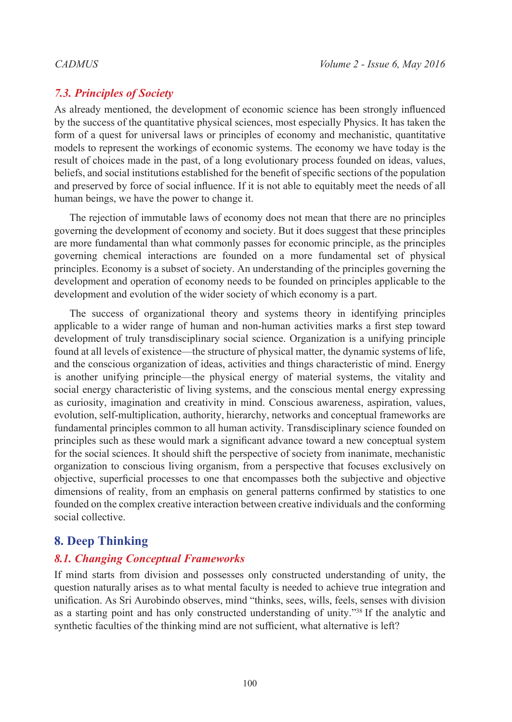# *7.3. Principles of Society*

As already mentioned, the development of economic science has been strongly influenced by the success of the quantitative physical sciences, most especially Physics. It has taken the form of a quest for universal laws or principles of economy and mechanistic, quantitative models to represent the workings of economic systems. The economy we have today is the result of choices made in the past, of a long evolutionary process founded on ideas, values, beliefs, and social institutions established for the benefit of specific sections of the population and preserved by force of social influence. If it is not able to equitably meet the needs of all human beings, we have the power to change it.

The rejection of immutable laws of economy does not mean that there are no principles governing the development of economy and society. But it does suggest that these principles are more fundamental than what commonly passes for economic principle, as the principles governing chemical interactions are founded on a more fundamental set of physical principles. Economy is a subset of society. An understanding of the principles governing the development and operation of economy needs to be founded on principles applicable to the development and evolution of the wider society of which economy is a part.

The success of organizational theory and systems theory in identifying principles applicable to a wider range of human and non-human activities marks a first step toward development of truly transdisciplinary social science. Organization is a unifying principle found at all levels of existence—the structure of physical matter, the dynamic systems of life, and the conscious organization of ideas, activities and things characteristic of mind. Energy is another unifying principle—the physical energy of material systems, the vitality and social energy characteristic of living systems, and the conscious mental energy expressing as curiosity, imagination and creativity in mind. Conscious awareness, aspiration, values, evolution, self-multiplication, authority, hierarchy, networks and conceptual frameworks are fundamental principles common to all human activity. Transdisciplinary science founded on principles such as these would mark a significant advance toward a new conceptual system for the social sciences. It should shift the perspective of society from inanimate, mechanistic organization to conscious living organism, from a perspective that focuses exclusively on objective, superficial processes to one that encompasses both the subjective and objective dimensions of reality, from an emphasis on general patterns confirmed by statistics to one founded on the complex creative interaction between creative individuals and the conforming social collective.

# **8. Deep Thinking**

# *8.1. Changing Conceptual Frameworks*

If mind starts from division and possesses only constructed understanding of unity, the question naturally arises as to what mental faculty is needed to achieve true integration and unification. As Sri Aurobindo observes, mind "thinks, sees, wills, feels, senses with division as a starting point and has only constructed understanding of unity."[38](#page-39-6) If the analytic and synthetic faculties of the thinking mind are not sufficient, what alternative is left?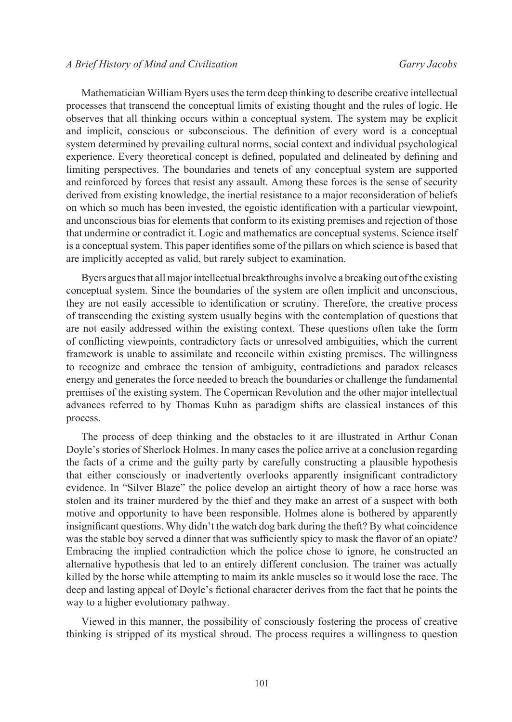### *CADMUS Volume 2 - Issue 6, May 2016 A Brief History of Mind and Civilization Garry Jacobs*

Mathematician William Byers uses the term deep thinking to describe creative intellectual processes that transcend the conceptual limits of existing thought and the rules of logic. He observes that all thinking occurs within a conceptual system. The system may be explicit and implicit, conscious or subconscious. The definition of every word is a conceptual system determined by prevailing cultural norms, social context and individual psychological experience. Every theoretical concept is defined, populated and delineated by defining and limiting perspectives. The boundaries and tenets of any conceptual system are supported and reinforced by forces that resist any assault. Among these forces is the sense of security derived from existing knowledge, the inertial resistance to a major reconsideration of beliefs on which so much has been invested, the egoistic identification with a particular viewpoint, and unconscious bias for elements that conform to its existing premises and rejection of those that undermine or contradict it. Logic and mathematics are conceptual systems. Science itself is a conceptual system. This paper identifies some of the pillars on which science is based that are implicitly accepted as valid, but rarely subject to examination.

Byers argues that all major intellectual breakthroughs involve a breaking out of the existing conceptual system. Since the boundaries of the system are often implicit and unconscious, they are not easily accessible to identification or scrutiny. Therefore, the creative process of transcending the existing system usually begins with the contemplation of questions that are not easily addressed within the existing context. These questions often take the form of conflicting viewpoints, contradictory facts or unresolved ambiguities, which the current framework is unable to assimilate and reconcile within existing premises. The willingness to recognize and embrace the tension of ambiguity, contradictions and paradox releases energy and generates the force needed to breach the boundaries or challenge the fundamental premises of the existing system. The Copernican Revolution and the other major intellectual advances referred to by Thomas Kuhn as paradigm shifts are classical instances of this process.

The process of deep thinking and the obstacles to it are illustrated in Arthur Conan Doyle's stories of Sherlock Holmes. In many cases the police arrive at a conclusion regarding the facts of a crime and the guilty party by carefully constructing a plausible hypothesis that either consciously or inadvertently overlooks apparently insignificant contradictory evidence. In "Silver Blaze" the police develop an airtight theory of how a race horse was stolen and its trainer murdered by the thief and they make an arrest of a suspect with both motive and opportunity to have been responsible. Holmes alone is bothered by apparently insignificant questions. Why didn't the watch dog bark during the theft? By what coincidence was the stable boy served a dinner that was sufficiently spicy to mask the flavor of an opiate? Embracing the implied contradiction which the police chose to ignore, he constructed an alternative hypothesis that led to an entirely different conclusion. The trainer was actually killed by the horse while attempting to maim its ankle muscles so it would lose the race. The deep and lasting appeal of Doyle's fictional character derives from the fact that he points the way to a higher evolutionary pathway.

Viewed in this manner, the possibility of consciously fostering the process of creative thinking is stripped of its mystical shroud. The process requires a willingness to question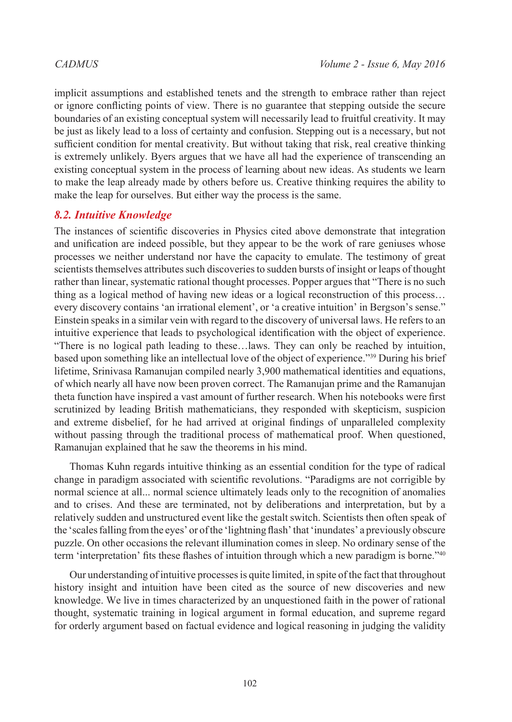implicit assumptions and established tenets and the strength to embrace rather than reject or ignore conflicting points of view. There is no guarantee that stepping outside the secure boundaries of an existing conceptual system will necessarily lead to fruitful creativity. It may be just as likely lead to a loss of certainty and confusion. Stepping out is a necessary, but not sufficient condition for mental creativity. But without taking that risk, real creative thinking is extremely unlikely. Byers argues that we have all had the experience of transcending an existing conceptual system in the process of learning about new ideas. As students we learn to make the leap already made by others before us. Creative thinking requires the ability to make the leap for ourselves. But either way the process is the same.

### *8.2. Intuitive Knowledge*

The instances of scientific discoveries in Physics cited above demonstrate that integration and unification are indeed possible, but they appear to be the work of rare geniuses whose processes we neither understand nor have the capacity to emulate. The testimony of great scientists themselves attributes such discoveries to sudden bursts of insight or leaps of thought rather than linear, systematic rational thought processes. Popper argues that "There is no such thing as a logical method of having new ideas or a logical reconstruction of this process… every discovery contains 'an irrational element', or 'a creative intuition' in Bergson's sense." Einstein speaks in a similar vein with regard to the discovery of universal laws. He refers to an intuitive experience that leads to psychological identification with the object of experience. "There is no logical path leading to these…laws. They can only be reached by intuition, based upon something like an intellectual love of the object of experience.["39](#page-39-7) During his brief lifetime, Srinivasa Ramanujan compiled nearly 3,900 mathematical identities and equations, of which nearly all have now been proven correct. The Ramanujan prime and the Ramanujan theta function have inspired a vast amount of further research. When his notebooks were first scrutinized by leading British mathematicians, they responded with skepticism, suspicion and extreme disbelief, for he had arrived at original findings of unparalleled complexity without passing through the traditional process of mathematical proof. When questioned, Ramanujan explained that he saw the theorems in his mind.

Thomas Kuhn regards intuitive thinking as an essential condition for the type of radical change in paradigm associated with scientific revolutions. "Paradigms are not corrigible by normal science at all... normal science ultimately leads only to the recognition of anomalies and to crises. And these are terminated, not by deliberations and interpretation, but by a relatively sudden and unstructured event like the gestalt switch. Scientists then often speak of the 'scales falling from the eyes' or of the 'lightning flash' that 'inundates' a previously obscure puzzle. On other occasions the relevant illumination comes in sleep. No ordinary sense of the term 'interpretation' fits these flashes of intuition through which a new paradigm is borne."[40](#page-39-8)

Our understanding of intuitive processes is quite limited, in spite of the fact that throughout history insight and intuition have been cited as the source of new discoveries and new knowledge. We live in times characterized by an unquestioned faith in the power of rational thought, systematic training in logical argument in formal education, and supreme regard for orderly argument based on factual evidence and logical reasoning in judging the validity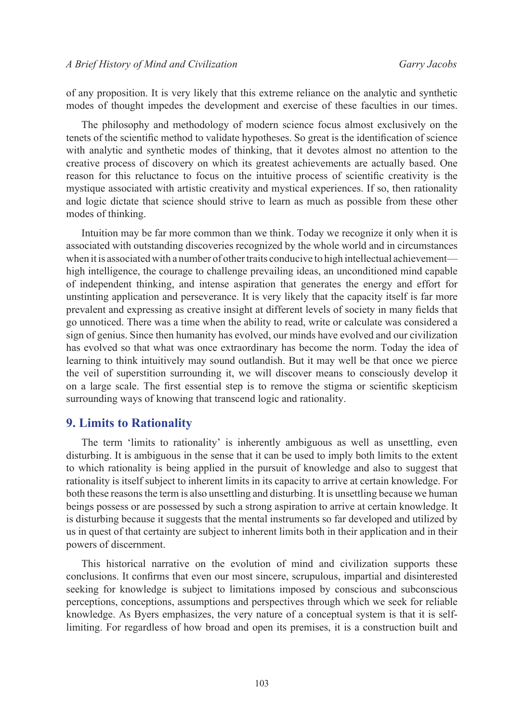of any proposition. It is very likely that this extreme reliance on the analytic and synthetic modes of thought impedes the development and exercise of these faculties in our times.

The philosophy and methodology of modern science focus almost exclusively on the tenets of the scientific method to validate hypotheses. So great is the identification of science with analytic and synthetic modes of thinking, that it devotes almost no attention to the creative process of discovery on which its greatest achievements are actually based. One reason for this reluctance to focus on the intuitive process of scientific creativity is the mystique associated with artistic creativity and mystical experiences. If so, then rationality and logic dictate that science should strive to learn as much as possible from these other modes of thinking.

Intuition may be far more common than we think. Today we recognize it only when it is associated with outstanding discoveries recognized by the whole world and in circumstances when it is associated with a number of other traits conducive to high intellectual achievement high intelligence, the courage to challenge prevailing ideas, an unconditioned mind capable of independent thinking, and intense aspiration that generates the energy and effort for unstinting application and perseverance. It is very likely that the capacity itself is far more prevalent and expressing as creative insight at different levels of society in many fields that go unnoticed. There was a time when the ability to read, write or calculate was considered a sign of genius. Since then humanity has evolved, our minds have evolved and our civilization has evolved so that what was once extraordinary has become the norm. Today the idea of learning to think intuitively may sound outlandish. But it may well be that once we pierce the veil of superstition surrounding it, we will discover means to consciously develop it on a large scale. The first essential step is to remove the stigma or scientific skepticism surrounding ways of knowing that transcend logic and rationality.

### **9. Limits to Rationality**

The term 'limits to rationality' is inherently ambiguous as well as unsettling, even disturbing. It is ambiguous in the sense that it can be used to imply both limits to the extent to which rationality is being applied in the pursuit of knowledge and also to suggest that rationality is itself subject to inherent limits in its capacity to arrive at certain knowledge. For both these reasons the term is also unsettling and disturbing. It is unsettling because we human beings possess or are possessed by such a strong aspiration to arrive at certain knowledge. It is disturbing because it suggests that the mental instruments so far developed and utilized by us in quest of that certainty are subject to inherent limits both in their application and in their powers of discernment.

This historical narrative on the evolution of mind and civilization supports these conclusions. It confirms that even our most sincere, scrupulous, impartial and disinterested seeking for knowledge is subject to limitations imposed by conscious and subconscious perceptions, conceptions, assumptions and perspectives through which we seek for reliable knowledge. As Byers emphasizes, the very nature of a conceptual system is that it is selflimiting. For regardless of how broad and open its premises, it is a construction built and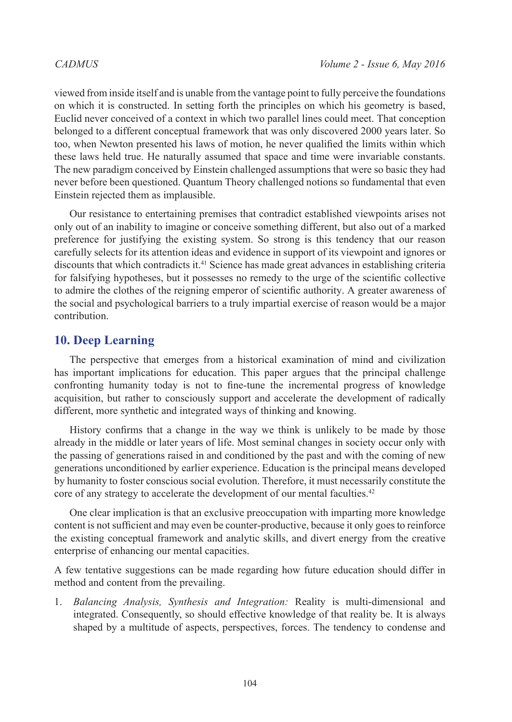viewed from inside itself and is unable from the vantage point to fully perceive the foundations on which it is constructed. In setting forth the principles on which his geometry is based, Euclid never conceived of a context in which two parallel lines could meet. That conception belonged to a different conceptual framework that was only discovered 2000 years later. So too, when Newton presented his laws of motion, he never qualified the limits within which these laws held true. He naturally assumed that space and time were invariable constants. The new paradigm conceived by Einstein challenged assumptions that were so basic they had never before been questioned. Quantum Theory challenged notions so fundamental that even Einstein rejected them as implausible.

Our resistance to entertaining premises that contradict established viewpoints arises not only out of an inability to imagine or conceive something different, but also out of a marked preference for justifying the existing system. So strong is this tendency that our reason carefully selects for its attention ideas and evidence in support of its viewpoint and ignores or discounts that which contradicts it.<sup>[41](#page-39-9)</sup> Science has made great advances in establishing criteria for falsifying hypotheses, but it possesses no remedy to the urge of the scientific collective to admire the clothes of the reigning emperor of scientific authority. A greater awareness of the social and psychological barriers to a truly impartial exercise of reason would be a major contribution.

# **10. Deep Learning**

The perspective that emerges from a historical examination of mind and civilization has important implications for education. This paper argues that the principal challenge confronting humanity today is not to fine-tune the incremental progress of knowledge acquisition, but rather to consciously support and accelerate the development of radically different, more synthetic and integrated ways of thinking and knowing.

History confirms that a change in the way we think is unlikely to be made by those already in the middle or later years of life. Most seminal changes in society occur only with the passing of generations raised in and conditioned by the past and with the coming of new generations unconditioned by earlier experience. Education is the principal means developed by humanity to foster conscious social evolution. Therefore, it must necessarily constitute the core of any strategy to accelerate the development of our mental faculties.[42](#page-39-10)

One clear implication is that an exclusive preoccupation with imparting more knowledge content is not sufficient and may even be counter-productive, because it only goes to reinforce the existing conceptual framework and analytic skills, and divert energy from the creative enterprise of enhancing our mental capacities.

A few tentative suggestions can be made regarding how future education should differ in method and content from the prevailing.

1. *Balancing Analysis, Synthesis and Integration:* Reality is multi-dimensional and integrated. Consequently, so should effective knowledge of that reality be. It is always shaped by a multitude of aspects, perspectives, forces. The tendency to condense and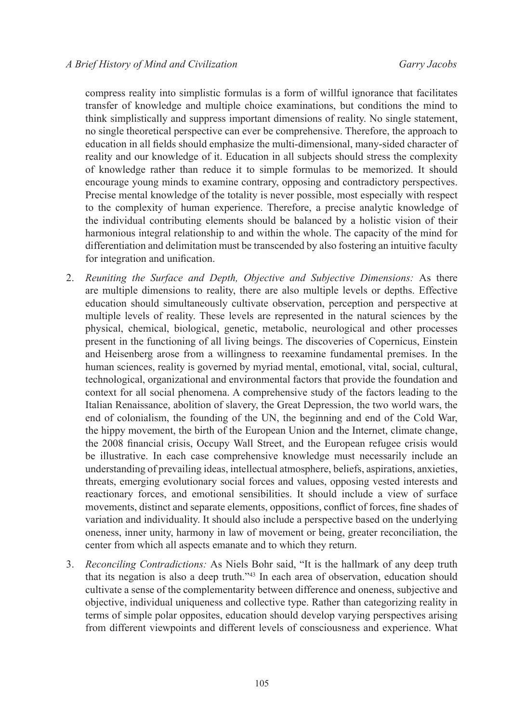compress reality into simplistic formulas is a form of willful ignorance that facilitates transfer of knowledge and multiple choice examinations, but conditions the mind to think simplistically and suppress important dimensions of reality. No single statement, no single theoretical perspective can ever be comprehensive. Therefore, the approach to education in all fields should emphasize the multi-dimensional, many-sided character of reality and our knowledge of it. Education in all subjects should stress the complexity of knowledge rather than reduce it to simple formulas to be memorized. It should encourage young minds to examine contrary, opposing and contradictory perspectives. Precise mental knowledge of the totality is never possible, most especially with respect to the complexity of human experience. Therefore, a precise analytic knowledge of the individual contributing elements should be balanced by a holistic vision of their harmonious integral relationship to and within the whole. The capacity of the mind for differentiation and delimitation must be transcended by also fostering an intuitive faculty for integration and unification.

- 2. *Reuniting the Surface and Depth, Objective and Subjective Dimensions:* As there are multiple dimensions to reality, there are also multiple levels or depths. Effective education should simultaneously cultivate observation, perception and perspective at multiple levels of reality. These levels are represented in the natural sciences by the physical, chemical, biological, genetic, metabolic, neurological and other processes present in the functioning of all living beings. The discoveries of Copernicus, Einstein and Heisenberg arose from a willingness to reexamine fundamental premises. In the human sciences, reality is governed by myriad mental, emotional, vital, social, cultural, technological, organizational and environmental factors that provide the foundation and context for all social phenomena. A comprehensive study of the factors leading to the Italian Renaissance, abolition of slavery, the Great Depression, the two world wars, the end of colonialism, the founding of the UN, the beginning and end of the Cold War, the hippy movement, the birth of the European Union and the Internet, climate change, the 2008 financial crisis, Occupy Wall Street, and the European refugee crisis would be illustrative. In each case comprehensive knowledge must necessarily include an understanding of prevailing ideas, intellectual atmosphere, beliefs, aspirations, anxieties, threats, emerging evolutionary social forces and values, opposing vested interests and reactionary forces, and emotional sensibilities. It should include a view of surface movements, distinct and separate elements, oppositions, conflict of forces, fine shades of variation and individuality. It should also include a perspective based on the underlying oneness, inner unity, harmony in law of movement or being, greater reconciliation, the center from which all aspects emanate and to which they return.
- 3. *Reconciling Contradictions:* As Niels Bohr said, "It is the hallmark of any deep truth that its negation is also a deep truth."[43](#page-39-11) In each area of observation, education should cultivate a sense of the complementarity between difference and oneness, subjective and objective, individual uniqueness and collective type. Rather than categorizing reality in terms of simple polar opposites, education should develop varying perspectives arising from different viewpoints and different levels of consciousness and experience. What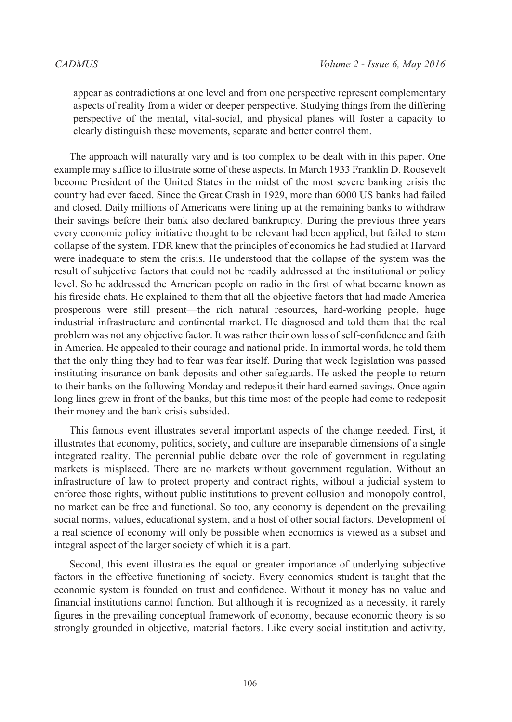appear as contradictions at one level and from one perspective represent complementary aspects of reality from a wider or deeper perspective. Studying things from the differing perspective of the mental, vital-social, and physical planes will foster a capacity to clearly distinguish these movements, separate and better control them.

The approach will naturally vary and is too complex to be dealt with in this paper. One example may suffice to illustrate some of these aspects. In March 1933 Franklin D. Roosevelt become President of the United States in the midst of the most severe banking crisis the country had ever faced. Since the Great Crash in 1929, more than 6000 US banks had failed and closed. Daily millions of Americans were lining up at the remaining banks to withdraw their savings before their bank also declared bankruptcy. During the previous three years every economic policy initiative thought to be relevant had been applied, but failed to stem collapse of the system. FDR knew that the principles of economics he had studied at Harvard were inadequate to stem the crisis. He understood that the collapse of the system was the result of subjective factors that could not be readily addressed at the institutional or policy level. So he addressed the American people on radio in the first of what became known as his fireside chats. He explained to them that all the objective factors that had made America prosperous were still present—the rich natural resources, hard-working people, huge industrial infrastructure and continental market. He diagnosed and told them that the real problem was not any objective factor. It was rather their own loss of self-confidence and faith in America. He appealed to their courage and national pride. In immortal words, he told them that the only thing they had to fear was fear itself. During that week legislation was passed instituting insurance on bank deposits and other safeguards. He asked the people to return to their banks on the following Monday and redeposit their hard earned savings. Once again long lines grew in front of the banks, but this time most of the people had come to redeposit their money and the bank crisis subsided.

This famous event illustrates several important aspects of the change needed. First, it illustrates that economy, politics, society, and culture are inseparable dimensions of a single integrated reality. The perennial public debate over the role of government in regulating markets is misplaced. There are no markets without government regulation. Without an infrastructure of law to protect property and contract rights, without a judicial system to enforce those rights, without public institutions to prevent collusion and monopoly control, no market can be free and functional. So too, any economy is dependent on the prevailing social norms, values, educational system, and a host of other social factors. Development of a real science of economy will only be possible when economics is viewed as a subset and integral aspect of the larger society of which it is a part.

Second, this event illustrates the equal or greater importance of underlying subjective factors in the effective functioning of society. Every economics student is taught that the economic system is founded on trust and confidence. Without it money has no value and financial institutions cannot function. But although it is recognized as a necessity, it rarely figures in the prevailing conceptual framework of economy, because economic theory is so strongly grounded in objective, material factors. Like every social institution and activity,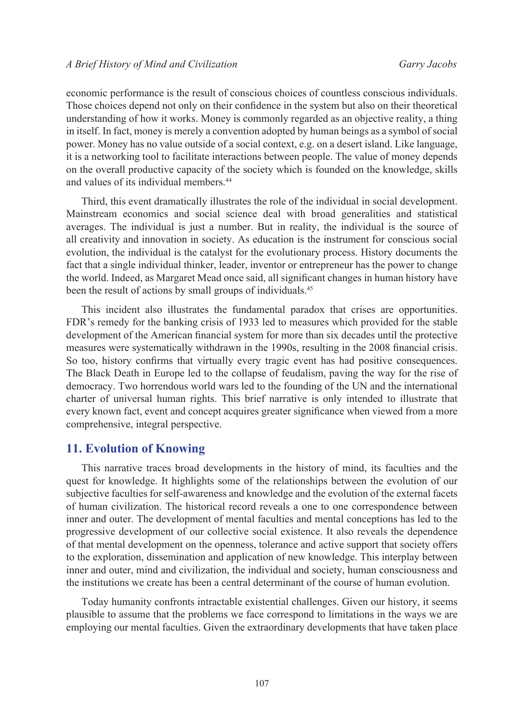economic performance is the result of conscious choices of countless conscious individuals. Those choices depend not only on their confidence in the system but also on their theoretical understanding of how it works. Money is commonly regarded as an objective reality, a thing in itself. In fact, money is merely a convention adopted by human beings as a symbol of social power. Money has no value outside of a social context, e.g. on a desert island. Like language, it is a networking tool to facilitate interactions between people. The value of money depends on the overall productive capacity of the society which is founded on the knowledge, skills and values of its individual members.<sup>[44](#page-39-12)</sup>

Third, this event dramatically illustrates the role of the individual in social development. Mainstream economics and social science deal with broad generalities and statistical averages. The individual is just a number. But in reality, the individual is the source of all creativity and innovation in society. As education is the instrument for conscious social evolution, the individual is the catalyst for the evolutionary process. History documents the fact that a single individual thinker, leader, inventor or entrepreneur has the power to change the world. Indeed, as Margaret Mead once said, all significant changes in human history have been the result of actions by small groups of individuals.<sup>[45](#page-39-13)</sup>

This incident also illustrates the fundamental paradox that crises are opportunities. FDR's remedy for the banking crisis of 1933 led to measures which provided for the stable development of the American financial system for more than six decades until the protective measures were systematically withdrawn in the 1990s, resulting in the 2008 financial crisis. So too, history confirms that virtually every tragic event has had positive consequences. The Black Death in Europe led to the collapse of feudalism, paving the way for the rise of democracy. Two horrendous world wars led to the founding of the UN and the international charter of universal human rights. This brief narrative is only intended to illustrate that every known fact, event and concept acquires greater significance when viewed from a more comprehensive, integral perspective.

### **11. Evolution of Knowing**

This narrative traces broad developments in the history of mind, its faculties and the quest for knowledge. It highlights some of the relationships between the evolution of our subjective faculties for self-awareness and knowledge and the evolution of the external facets of human civilization. The historical record reveals a one to one correspondence between inner and outer. The development of mental faculties and mental conceptions has led to the progressive development of our collective social existence. It also reveals the dependence of that mental development on the openness, tolerance and active support that society offers to the exploration, dissemination and application of new knowledge. This interplay between inner and outer, mind and civilization, the individual and society, human consciousness and the institutions we create has been a central determinant of the course of human evolution.

Today humanity confronts intractable existential challenges. Given our history, it seems plausible to assume that the problems we face correspond to limitations in the ways we are employing our mental faculties. Given the extraordinary developments that have taken place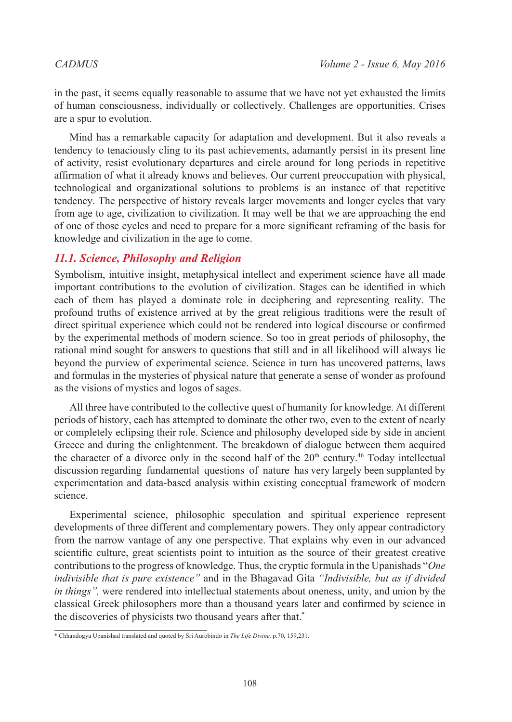in the past, it seems equally reasonable to assume that we have not yet exhausted the limits of human consciousness, individually or collectively. Challenges are opportunities. Crises are a spur to evolution.

Mind has a remarkable capacity for adaptation and development. But it also reveals a tendency to tenaciously cling to its past achievements, adamantly persist in its present line of activity, resist evolutionary departures and circle around for long periods in repetitive affirmation of what it already knows and believes. Our current preoccupation with physical, technological and organizational solutions to problems is an instance of that repetitive tendency. The perspective of history reveals larger movements and longer cycles that vary from age to age, civilization to civilization. It may well be that we are approaching the end of one of those cycles and need to prepare for a more significant reframing of the basis for knowledge and civilization in the age to come.

# *11.1. Science, Philosophy and Religion*

Symbolism, intuitive insight, metaphysical intellect and experiment science have all made important contributions to the evolution of civilization. Stages can be identified in which each of them has played a dominate role in deciphering and representing reality. The profound truths of existence arrived at by the great religious traditions were the result of direct spiritual experience which could not be rendered into logical discourse or confirmed by the experimental methods of modern science. So too in great periods of philosophy, the rational mind sought for answers to questions that still and in all likelihood will always lie beyond the purview of experimental science. Science in turn has uncovered patterns, laws and formulas in the mysteries of physical nature that generate a sense of wonder as profound as the visions of mystics and logos of sages.

All three have contributed to the collective quest of humanity for knowledge. At different periods of history, each has attempted to dominate the other two, even to the extent of nearly or completely eclipsing their role. Science and philosophy developed side by side in ancient Greece and during the enlightenment. The breakdown of dialogue between them acquired the character of a divorce only in the second half of the  $20<sup>th</sup>$  century.<sup>[46](#page-39-14)</sup> Today intellectual discussion regarding fundamental questions of nature has very largely been supplanted by experimentation and data-based analysis within existing conceptual framework of modern science.

Experimental science, philosophic speculation and spiritual experience represent developments of three different and complementary powers. They only appear contradictory from the narrow vantage of any one perspective. That explains why even in our advanced scientific culture, great scientists point to intuition as the source of their greatest creative contributions to the progress of knowledge. Thus, the cryptic formula in the Upanishads "*One indivisible that is pure existence"* and in the Bhagavad Gita *"Indivisible, but as if divided in things",* were rendered into intellectual statements about oneness, unity, and union by the classical Greek philosophers more than a thousand years later and confirmed by science in the discoveries of physicists two thousand years after that.\*

<sup>\*</sup> Chhandogya Upanishad translated and quoted by Sri Aurobindo in *The Life Divine,* p.70, 159,231*.*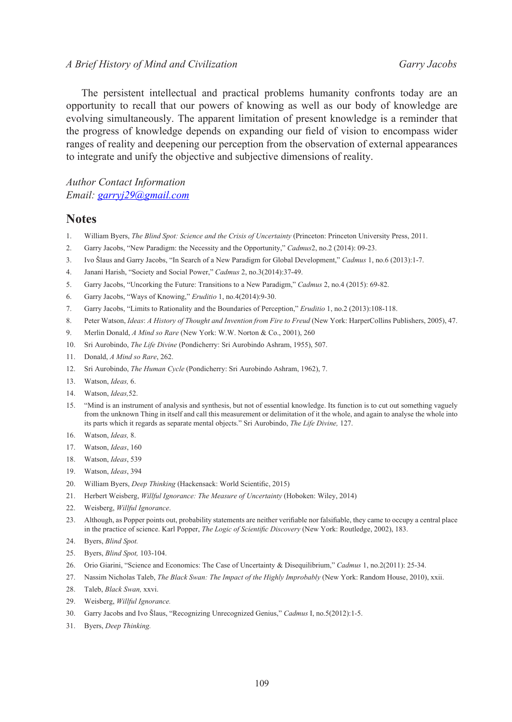### *CADMUS Volume 2 - Issue 6, May 2016 A Brief History of Mind and Civilization Garry Jacobs*

The persistent intellectual and practical problems humanity confronts today are an opportunity to recall that our powers of knowing as well as our body of knowledge are evolving simultaneously. The apparent limitation of present knowledge is a reminder that the progress of knowledge depends on expanding our field of vision to encompass wider ranges of reality and deepening our perception from the observation of external appearances to integrate and unify the objective and subjective dimensions of reality.

### *Author Contact Information Email: [garryj29@gmail.com](mailto:garryj29%40gmail.com?subject=)*

### **Notes**

- <span id="page-38-0"></span>1. William Byers, *The Blind Spot: Science and the Crisis of Uncertainty* (Princeton: Princeton University Press, 2011.
- <span id="page-38-1"></span>2. Garry Jacobs, "New Paradigm: the Necessity and the Opportunity," *Cadmus*2, no.2 (2014): 09-23.
- <span id="page-38-2"></span>3. Ivo Šlaus and Garry Jacobs, "In Search of a New Paradigm for Global Development," *Cadmus* 1, no.6 (2013):1-7.
- <span id="page-38-3"></span>4. Janani Harish, "Society and Social Power," *Cadmus* 2, no.3(2014):37-49.
- <span id="page-38-4"></span>5. Garry Jacobs, "Uncorking the Future: Transitions to a New Paradigm," *Cadmus* 2, no.4 (2015): 69-82.
- <span id="page-38-5"></span>6. Garry Jacobs, "Ways of Knowing," *Eruditio* 1, no.4(2014):9-30.
- <span id="page-38-6"></span>7. Garry Jacobs, "Limits to Rationality and the Boundaries of Perception," *Eruditio* 1, no.2 (2013):108-118.
- <span id="page-38-7"></span>8. Peter Watson, *Ideas*: *A History of Thought and Invention from Fire to Freud* (New York: HarperCollins Publishers, 2005), 47.
- <span id="page-38-8"></span>9. Merlin Donald, *A Mind so Rare* (New York: W.W. Norton & Co., 2001), 260
- <span id="page-38-9"></span>10. Sri Aurobindo, *The Life Divine* (Pondicherry: Sri Aurobindo Ashram, 1955), 507.
- <span id="page-38-10"></span>11. Donald, *A Mind so Rare*, 262.
- <span id="page-38-11"></span>12. Sri Aurobindo, *The Human Cycle* (Pondicherry: Sri Aurobindo Ashram, 1962), 7.
- <span id="page-38-12"></span>13. Watson, *Ideas,* 6.
- <span id="page-38-13"></span>14. Watson, *Ideas,*52.
- <span id="page-38-14"></span>15. "Mind is an instrument of analysis and synthesis, but not of essential knowledge. Its function is to cut out something vaguely from the unknown Thing in itself and call this measurement or delimitation of it the whole, and again to analyse the whole into its parts which it regards as separate mental objects." Sri Aurobindo, *The Life Divine,* 127.
- <span id="page-38-15"></span>16. Watson, *Ideas,* 8.
- <span id="page-38-16"></span>17. Watson, *Ideas*, 160
- <span id="page-38-17"></span>18. Watson, *Ideas*, 539
- <span id="page-38-19"></span><span id="page-38-18"></span>19. Watson, *Ideas*, 394
- 20. William Byers, *Deep Thinking* (Hackensack: World Scientific, 2015)
- <span id="page-38-20"></span>21. Herbert Weisberg, *Willful Ignorance: The Measure of Uncertainty* (Hoboken: Wiley, 2014)
- <span id="page-38-21"></span>22. Weisberg, *Willful Ignorance*.
- <span id="page-38-22"></span>23. Although, as Popper points out, probability statements are neither verifiable nor falsifiable, they came to occupy a central place in the practice of science. Karl Popper, *The Logic of Scientific Discovery* (New York: Routledge, 2002), 183.
- <span id="page-38-23"></span>24. Byers, *Blind Spot.*
- <span id="page-38-24"></span>25. Byers, *Blind Spot,* 103-104.
- <span id="page-38-25"></span>26. Orio Giarini, "Science and Economics: The Case of Uncertainty & Disequilibrium," *Cadmus* 1, no.2(2011): 25-34.
- <span id="page-38-26"></span>27. Nassim Nicholas Taleb, *The Black Swan: The Impact of the Highly Improbably* (New York: Random House, 2010), xxii.
- <span id="page-38-27"></span>28. Taleb, *Black Swan,* xxvi.
- <span id="page-38-28"></span>29. Weisberg, *Willful Ignorance.*
- <span id="page-38-29"></span>30. Garry Jacobs and Ivo Šlaus, "Recognizing Unrecognized Genius," *Cadmus* I, no.5(2012):1-5.
- <span id="page-38-30"></span>31. Byers, *Deep Thinking.*